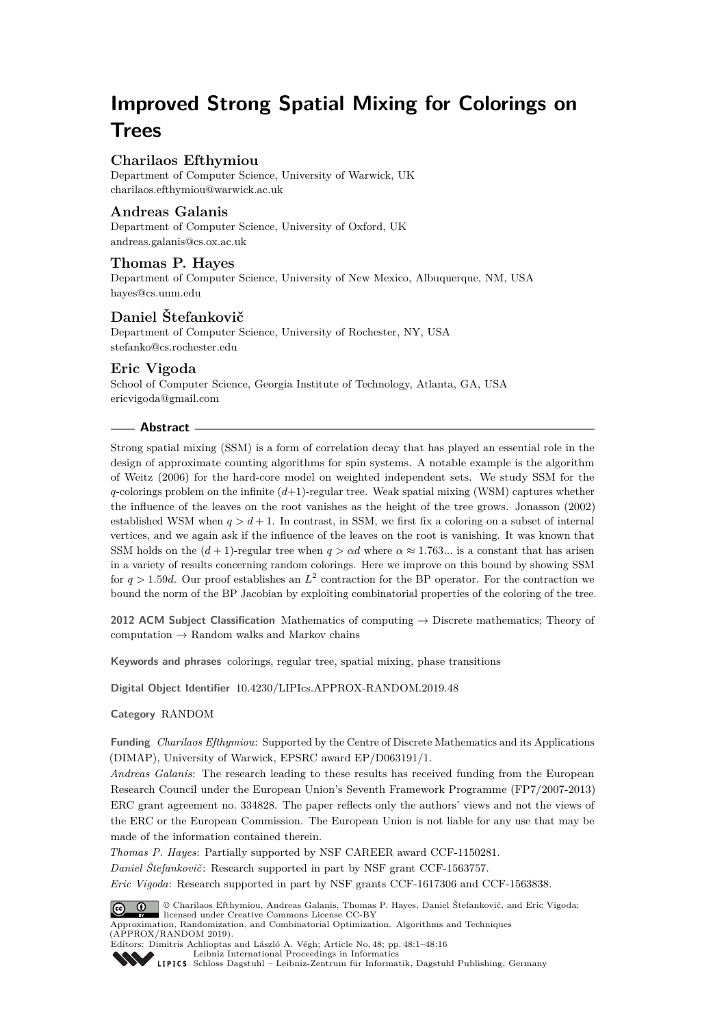# **Improved Strong Spatial Mixing for Colorings on Trees**

# **Charilaos Efthymiou**

Department of Computer Science, University of Warwick, UK [charilaos.efthymiou@warwick.ac.uk](mailto:charilaos.efthymiou@warwick.ac.uk)

## **Andreas Galanis**

Department of Computer Science, University of Oxford, UK [andreas.galanis@cs.ox.ac.uk](mailto:andreas.galanis@cs.ox.ac.uk)

# **Thomas P. Hayes**

Department of Computer Science, University of New Mexico, Albuquerque, NM, USA [hayes@cs.unm.edu](mailto:hayes@cs.unm.edu)

# **Daniel Štefankovič**

Department of Computer Science, University of Rochester, NY, USA [stefanko@cs.rochester.edu](mailto:stefanko@cs.rochester.edu)

# **Eric Vigoda**

School of Computer Science, Georgia Institute of Technology, Atlanta, GA, USA [ericvigoda@gmail.com](mailto:ericvigoda@gmail.com)

## **Abstract**

Strong spatial mixing (SSM) is a form of correlation decay that has played an essential role in the design of approximate counting algorithms for spin systems. A notable example is the algorithm of Weitz (2006) for the hard-core model on weighted independent sets. We study SSM for the *q*-colorings problem on the infinite (*d*+1)-regular tree. Weak spatial mixing (WSM) captures whether the influence of the leaves on the root vanishes as the height of the tree grows. Jonasson (2002) established WSM when  $q > d + 1$ . In contrast, in SSM, we first fix a coloring on a subset of internal vertices, and we again ask if the influence of the leaves on the root is vanishing. It was known that SSM holds on the  $(d+1)$ -regular tree when  $q > \alpha d$  where  $\alpha \approx 1.763...$  is a constant that has arisen in a variety of results concerning random colorings. Here we improve on this bound by showing SSM for  $q > 1.59d$ . Our proof establishes an  $L^2$  contraction for the BP operator. For the contraction we bound the norm of the BP Jacobian by exploiting combinatorial properties of the coloring of the tree.

**2012 ACM Subject Classification** Mathematics of computing → Discrete mathematics; Theory of computation  $\rightarrow$  Random walks and Markov chains

**Keywords and phrases** colorings, regular tree, spatial mixing, phase transitions

**Digital Object Identifier** [10.4230/LIPIcs.APPROX-RANDOM.2019.48](https://doi.org/10.4230/LIPIcs.APPROX-RANDOM.2019.48)

#### **Category** RANDOM

**Funding** *Charilaos Efthymiou*: Supported by the Centre of Discrete Mathematics and its Applications (DIMAP), University of Warwick, EPSRC award EP/D063191/1.

*Andreas Galanis*: The research leading to these results has received funding from the European Research Council under the European Union's Seventh Framework Programme (FP7/2007-2013) ERC grant agreement no. 334828. The paper reflects only the authors' views and not the views of the ERC or the European Commission. The European Union is not liable for any use that may be made of the information contained therein.

*Thomas P. Hayes*: Partially supported by NSF CAREER award CCF-1150281.

*Daniel Štefankovič*: Research supported in part by NSF grant CCF-1563757.

*Eric Vigoda*: Research supported in part by NSF grants CCF-1617306 and CCF-1563838.



© Charilaos Efthymiou, Andreas Galanis, Thomas P. Hayes, Daniel Štefankovič, and Eric Vigoda; licensed under Creative Commons License CC-BY Approximation, Randomization, and Combinatorial Optimization. Algorithms and Techniques (APPROX/RANDOM 2019). Editors: Dimitris Achlioptas and László A. Végh; Article No. 48; pp. 48:1–48[:16](#page-15-0)

[Leibniz International Proceedings in Informatics](https://www.dagstuhl.de/lipics/)

[Schloss Dagstuhl – Leibniz-Zentrum für Informatik, Dagstuhl Publishing, Germany](https://www.dagstuhl.de)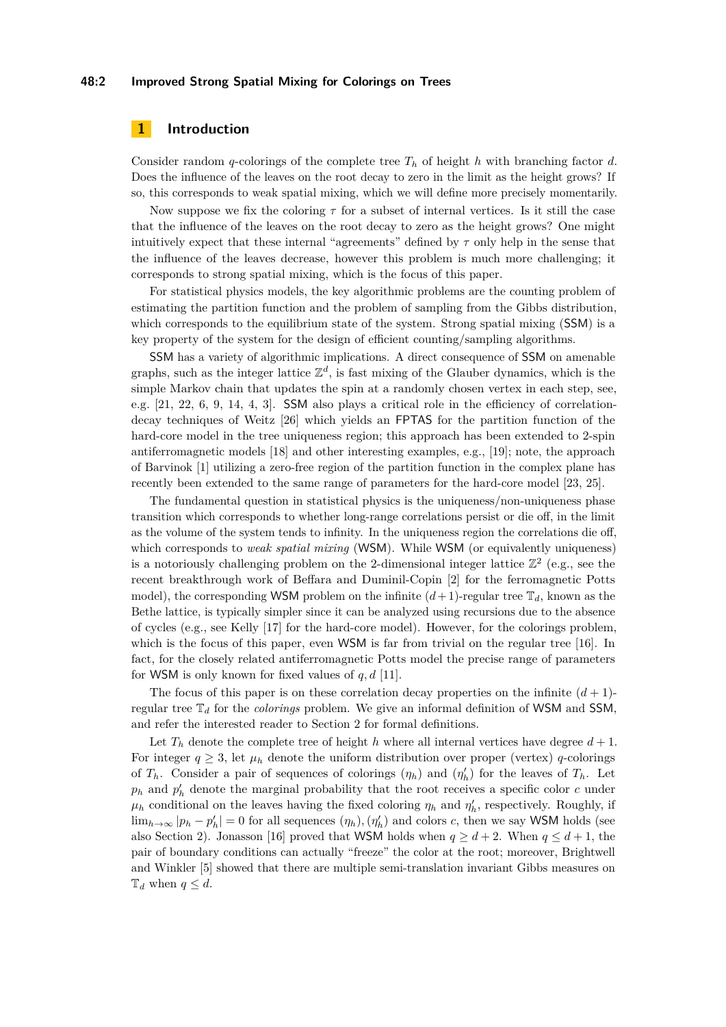#### **48:2 Improved Strong Spatial Mixing for Colorings on Trees**

## **1 Introduction**

Consider random *q*-colorings of the complete tree  $T_h$  of height *h* with branching factor *d*. Does the influence of the leaves on the root decay to zero in the limit as the height grows? If so, this corresponds to weak spatial mixing, which we will define more precisely momentarily.

Now suppose we fix the coloring *τ* for a subset of internal vertices. Is it still the case that the influence of the leaves on the root decay to zero as the height grows? One might intuitively expect that these internal "agreements" defined by  $\tau$  only help in the sense that the influence of the leaves decrease, however this problem is much more challenging; it corresponds to strong spatial mixing, which is the focus of this paper.

For statistical physics models, the key algorithmic problems are the counting problem of estimating the partition function and the problem of sampling from the Gibbs distribution, which corresponds to the equilibrium state of the system. Strong spatial mixing (SSM) is a key property of the system for the design of efficient counting/sampling algorithms.

SSM has a variety of algorithmic implications. A direct consequence of SSM on amenable graphs, such as the integer lattice  $\mathbb{Z}^d$ , is fast mixing of the Glauber dynamics, which is the simple Markov chain that updates the spin at a randomly chosen vertex in each step, see, e.g. [\[21,](#page-15-1) [22,](#page-15-2) [6,](#page-14-0) [9,](#page-14-1) [14,](#page-14-2) [4,](#page-14-3) [3\]](#page-14-4). SSM also plays a critical role in the efficiency of correlationdecay techniques of Weitz [\[26\]](#page-15-3) which yields an FPTAS for the partition function of the hard-core model in the tree uniqueness region; this approach has been extended to 2-spin antiferromagnetic models [\[18\]](#page-15-4) and other interesting examples, e.g., [\[19\]](#page-15-5); note, the approach of Barvinok [\[1\]](#page-14-5) utilizing a zero-free region of the partition function in the complex plane has recently been extended to the same range of parameters for the hard-core model [\[23,](#page-15-6) [25\]](#page-15-7).

The fundamental question in statistical physics is the uniqueness/non-uniqueness phase transition which corresponds to whether long-range correlations persist or die off, in the limit as the volume of the system tends to infinity. In the uniqueness region the correlations die off, which corresponds to *weak spatial mixing* (WSM). While WSM (or equivalently uniqueness) is a notoriously challenging problem on the 2-dimensional integer lattice  $\mathbb{Z}^2$  (e.g., see the recent breakthrough work of Beffara and Duminil-Copin [\[2\]](#page-14-6) for the ferromagnetic Potts model), the corresponding WSM problem on the infinite  $(d+1)$ -regular tree  $\mathbb{T}_d$ , known as the Bethe lattice, is typically simpler since it can be analyzed using recursions due to the absence of cycles (e.g., see Kelly [\[17\]](#page-15-8) for the hard-core model). However, for the colorings problem, which is the focus of this paper, even WSM is far from trivial on the regular tree [\[16\]](#page-15-9). In fact, for the closely related antiferromagnetic Potts model the precise range of parameters for WSM is only known for fixed values of  $q, d$  [\[11\]](#page-14-7).

The focus of this paper is on these correlation decay properties on the infinite  $(d+1)$ regular tree T*<sup>d</sup>* for the *colorings* problem. We give an informal definition of WSM and SSM, and refer the interested reader to Section [2](#page-2-0) for formal definitions.

Let  $T_h$  denote the complete tree of height *h* where all internal vertices have degree  $d+1$ . For integer  $q \geq 3$ , let  $\mu_h$  denote the uniform distribution over proper (vertex) *q*-colorings of  $T_h$ . Consider a pair of sequences of colorings  $(\eta_h)$  and  $(\eta'_h)$  for the leaves of  $T_h$ . Let  $p_h$  and  $p'_h$  denote the marginal probability that the root receives a specific color *c* under  $\mu_h$  conditional on the leaves having the fixed coloring  $\eta_h$  and  $\eta'_h$ , respectively. Roughly, if  $\lim_{h\to\infty}$   $|p_h - p'_h| = 0$  for all sequences  $(\eta_h), (\eta'_h)$  and colors *c*, then we say WSM holds (see also Section [2\)](#page-2-0). Jonasson [\[16\]](#page-15-9) proved that WSM holds when  $q \geq d+2$ . When  $q \leq d+1$ , the pair of boundary conditions can actually "freeze" the color at the root; moreover, Brightwell and Winkler [\[5\]](#page-14-8) showed that there are multiple semi-translation invariant Gibbs measures on  $\mathbb{T}_d$  when  $q \leq d$ .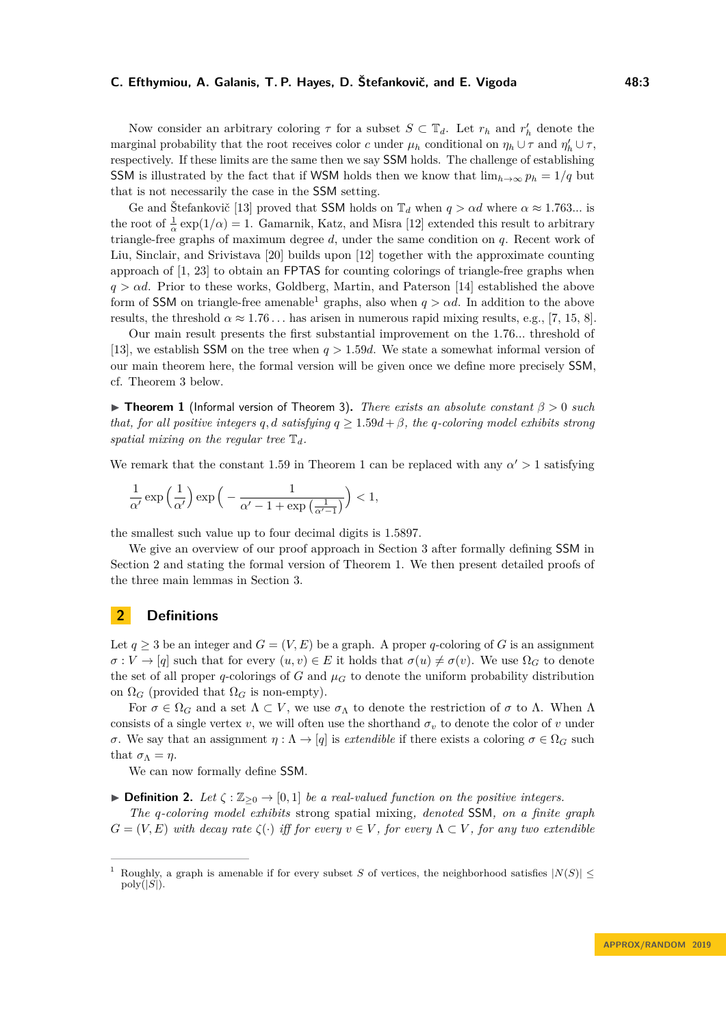Now consider an arbitrary coloring  $\tau$  for a subset  $S \subset \mathbb{T}_d$ . Let  $r_h$  and  $r'_h$  denote the marginal probability that the root receives color *c* under  $\mu_h$  conditional on  $\eta_h \cup \tau$  and  $\eta'_h \cup \tau$ , respectively. If these limits are the same then we say SSM holds. The challenge of establishing SSM is illustrated by the fact that if WSM holds then we know that  $\lim_{h\to\infty} p_h = 1/q$  but that is not necessarily the case in the SSM setting.

Ge and Štefankovič [\[13\]](#page-14-9) proved that SSM holds on  $\mathbb{T}_d$  when  $q > \alpha d$  where  $\alpha \approx 1.763...$  is the root of  $\frac{1}{\alpha} \exp(1/\alpha) = 1$ . Gamarnik, Katz, and Misra [\[12\]](#page-14-10) extended this result to arbitrary triangle-free graphs of maximum degree *d*, under the same condition on *q*. Recent work of Liu, Sinclair, and Srivistava [\[20\]](#page-15-10) builds upon [\[12\]](#page-14-10) together with the approximate counting approach of [\[1,](#page-14-5) [23\]](#page-15-6) to obtain an FPTAS for counting colorings of triangle-free graphs when *q > αd*. Prior to these works, Goldberg, Martin, and Paterson [\[14\]](#page-14-2) established the above form of SSM on triangle-free amenable<sup>[1](#page-2-1)</sup> graphs, also when  $q > \alpha d$ . In addition to the above results, the threshold  $\alpha \approx 1.76...$  has arisen in numerous rapid mixing results, e.g., [\[7,](#page-14-11) [15,](#page-14-12) [8\]](#page-14-13).

Our main result presents the first substantial improvement on the 1*.*76*...* threshold of [\[13\]](#page-14-9), we establish SSM on the tree when *q >* 1*.*59*d*. We state a somewhat informal version of our main theorem here, the formal version will be given once we define more precisely SSM, cf. Theorem [3](#page-3-0) below.

<span id="page-2-2"></span>I **Theorem 1** (Informal version of Theorem [3\)](#page-3-0)**.** *There exists an absolute constant β >* 0 *such that, for all positive integers q, d satisfying*  $q \geq 1.59d + \beta$ , *the q*-coloring model exhibits strong *spatial mixing on the regular tree*  $\mathbb{T}_d$ *.* 

We remark that the constant [1](#page-2-2).59 in Theorem 1 can be replaced with any  $\alpha' > 1$  satisfying

$$
\frac{1}{\alpha'}\exp\left(\frac{1}{\alpha'}\right)\exp\Big(-\frac{1}{\alpha'-1+\exp\big(\frac{1}{\alpha'-1}\big)}\Big)<1,
$$

the smallest such value up to four decimal digits is 1*.*5897.

We give an overview of our proof approach in Section [3](#page-3-1) after formally defining SSM in Section [2](#page-2-0) and stating the formal version of Theorem [1.](#page-2-2) We then present detailed proofs of the three main lemmas in Section [3.](#page-3-1)

## <span id="page-2-0"></span>**2 Definitions**

Let  $q \geq 3$  be an integer and  $G = (V, E)$  be a graph. A proper *q*-coloring of *G* is an assignment  $\sigma: V \to [q]$  such that for every  $(u, v) \in E$  it holds that  $\sigma(u) \neq \sigma(v)$ . We use  $\Omega_G$  to denote the set of all proper *q*-colorings of *G* and  $\mu$ <sup>*G*</sup> to denote the uniform probability distribution on  $\Omega_G$  (provided that  $\Omega_G$  is non-empty).

For  $\sigma \in \Omega_G$  and a set  $\Lambda \subset V$ , we use  $\sigma_\Lambda$  to denote the restriction of  $\sigma$  to  $\Lambda$ . When  $\Lambda$ consists of a single vertex *v*, we will often use the shorthand  $\sigma_v$  to denote the color of *v* under *σ*. We say that an assignment  $η: Λ \rightarrow [q]$  is *extendible* if there exists a coloring  $σ \in Ω$ *G* such that  $\sigma_{\Lambda} = \eta$ .

We can now formally define SSM.

**► Definition 2.** Let  $\zeta$  :  $\mathbb{Z}_{\geq 0}$  → [0, 1] *be a real-valued function on the positive integers.* 

*The q-coloring model exhibits* strong spatial mixing*, denoted* SSM*, on a finite graph*  $G = (V, E)$  *with decay rate*  $\zeta(\cdot)$  *iff for every*  $v \in V$ , *for every*  $\Lambda \subset V$ , *for any two extendible* 

<span id="page-2-1"></span>Roughly, a graph is amenable if for every subset *S* of vertices, the neighborhood satisfies  $|N(S)|$  <  $poly(|S|)$ .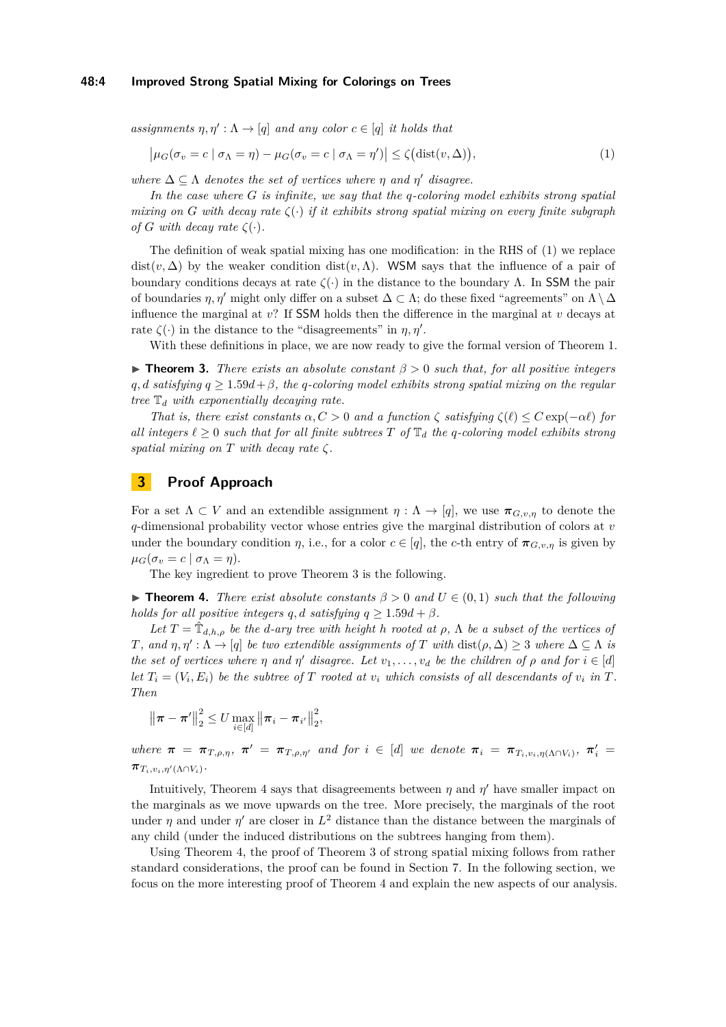#### **48:4 Improved Strong Spatial Mixing for Colorings on Trees**

*assignments*  $\eta, \eta' : \Lambda \to [q]$  *and any color*  $c \in [q]$  *it holds that* 

<span id="page-3-2"></span>
$$
\left|\mu_G(\sigma_v = c \mid \sigma_\Lambda = \eta) - \mu_G(\sigma_v = c \mid \sigma_\Lambda = \eta')\right| \le \zeta\big(\text{dist}(v, \Delta)\big),\tag{1}
$$

*where*  $\Delta \subseteq \Lambda$  *denotes the set of vertices where*  $\eta$  *and*  $\eta'$  *disagree.* 

*In the case where G is infinite, we say that the q-coloring model exhibits strong spatial mixing on G* with decay rate  $\zeta(\cdot)$  *if it exhibits strong spatial mixing on every finite subgraph of G with decay rate*  $\zeta(\cdot)$ *.* 

The definition of weak spatial mixing has one modification: in the RHS of [\(1\)](#page-3-2) we replace dist( $v, \Delta$ ) by the weaker condition dist( $v, \Lambda$ ). WSM says that the influence of a pair of boundary conditions decays at rate  $\zeta(\cdot)$  in the distance to the boundary Λ. In SSM the pair of boundaries  $\eta$ ,  $\eta'$  might only differ on a subset  $\Delta \subset \Lambda$ ; do these fixed "agreements" on  $\Lambda \setminus \Delta$ influence the marginal at *v*? If SSM holds then the difference in the marginal at *v* decays at rate  $\zeta(\cdot)$  in the distance to the "disagreements" in  $\eta, \eta'$ .

With these definitions in place, we are now ready to give the formal version of Theorem [1.](#page-2-2)

<span id="page-3-0"></span>I **Theorem 3.** *There exists an absolute constant β >* 0 *such that, for all positive integers q, d* satisfying  $q \geq 1.59d + \beta$ , the *q*-coloring model exhibits strong spatial mixing on the regular *tree* T*<sup>d</sup> with exponentially decaying rate.*

*That is, there exist constants*  $\alpha, C > 0$  *and a function*  $\zeta$  *satisfying*  $\zeta(\ell) \leq C \exp(-\alpha \ell)$  *for all integers*  $\ell \geq 0$  *such that for all finite subtrees*  $T$  *of*  $\mathbb{T}_d$  *the q-coloring model exhibits strong spatial mixing on*  $T$  *with decay rate*  $\zeta$ *.* 

## <span id="page-3-1"></span>**3 Proof Approach**

For a set  $\Lambda \subset V$  and an extendible assignment  $\eta : \Lambda \to [q]$ , we use  $\pi_{G,v,\eta}$  to denote the *q*-dimensional probability vector whose entries give the marginal distribution of colors at *v* under the boundary condition *η*, i.e., for a color  $c \in [q]$ , the *c*-th entry of  $\pi_{G,v,n}$  is given by  $\mu_G(\sigma_v = c \mid \sigma_\Lambda = \eta).$ 

The key ingredient to prove Theorem [3](#page-3-0) is the following.

<span id="page-3-3"></span>**Find 1.** There exist absolute constants  $\beta > 0$  and  $U \in (0,1)$  such that the following *holds for all positive integers q, d satisfying*  $q \geq 1.59d + \beta$ *.* 

*Let*  $T = \hat{T}_{d,h,\rho}$  *be the d-ary tree with height h rooted at*  $\rho$ ,  $\Lambda$  *be a subset of the vertices of T*, and  $\eta, \eta' : \Lambda \to [q]$  *be two extendible assignments of T with* dist $(\rho, \Delta) \geq 3$  *where*  $\Delta \subseteq \Lambda$  *is the set of vertices where*  $\eta$  *and*  $\eta'$  *disagree. Let*  $v_1, \ldots, v_d$  *be the children of*  $\rho$  *and* for  $i \in [d]$ let  $T_i = (V_i, E_i)$  be the subtree of  $T$  rooted at  $v_i$  which consists of all descendants of  $v_i$  in  $T$ . *Then*

$$
\|\boldsymbol{\pi} - \boldsymbol{\pi}'\|_2^2 \leq U \max_{i \in [d]} \|\boldsymbol{\pi}_i - \boldsymbol{\pi}_{i'}\|_2^2,
$$

where  $\pi = \pi_{T,\rho,\eta}$ ,  $\pi' = \pi_{T,\rho,\eta'}$  and for  $i \in [d]$  we denote  $\pi_i = \pi_{T_i,v_i,\eta(\Lambda \cap V_i)}$ ,  $\pi'_i =$  $\pi_{T_i,v_i,\eta'(\Lambda \cap V_i)}$ 

Intuitively, Theorem [4](#page-3-3) says that disagreements between  $\eta$  and  $\eta'$  have smaller impact on the marginals as we move upwards on the tree. More precisely, the marginals of the root under  $\eta$  and under  $\eta'$  are closer in  $L^2$  distance than the distance between the marginals of any child (under the induced distributions on the subtrees hanging from them).

Using Theorem [4,](#page-3-3) the proof of Theorem [3](#page-3-0) of strong spatial mixing follows from rather standard considerations, the proof can be found in Section [7.](#page-13-0) In the following section, we focus on the more interesting proof of Theorem [4](#page-3-3) and explain the new aspects of our analysis.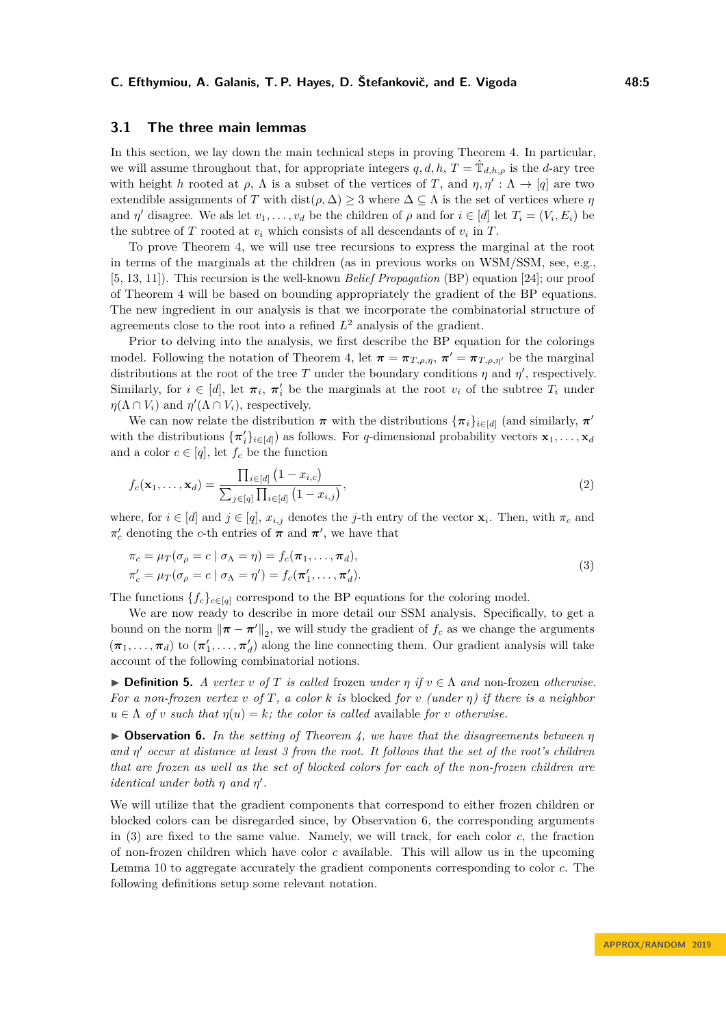## **3.1 The three main lemmas**

In this section, we lay down the main technical steps in proving Theorem [4.](#page-3-3) In particular, we will assume throughout that, for appropriate integers  $q, d, h, T = \hat{\mathbb{T}}_{d,h,\rho}$  is the *d*-ary tree with height *h* rooted at  $\rho$ ,  $\Lambda$  is a subset of the vertices of *T*, and  $\eta$ ,  $\eta' : \Lambda \to [q]$  are two extendible assignments of *T* with  $dist(\rho, \Delta) \geq 3$  where  $\Delta \subseteq \Lambda$  is the set of vertices where  $\eta$ and *η*' disagree. We als let  $v_1, \ldots, v_d$  be the children of  $\rho$  and for  $i \in [d]$  let  $T_i = (V_i, E_i)$  be the subtree of  $T$  rooted at  $v_i$  which consists of all descendants of  $v_i$  in  $T$ .

To prove Theorem [4,](#page-3-3) we will use tree recursions to express the marginal at the root in terms of the marginals at the children (as in previous works on WSM/SSM, see, e.g., [\[5,](#page-14-8) [13,](#page-14-9) [11\]](#page-14-7)). This recursion is the well-known *Belief Propagation* (BP) equation [\[24\]](#page-15-11); our proof of Theorem [4](#page-3-3) will be based on bounding appropriately the gradient of the BP equations. The new ingredient in our analysis is that we incorporate the combinatorial structure of agreements close to the root into a refined  $L^2$  analysis of the gradient.

Prior to delving into the analysis, we first describe the BP equation for the colorings model. Following the notation of Theorem [4,](#page-3-3) let  $\pi = \pi_{T,\rho,\eta}$ ,  $\pi' = \pi_{T,\rho,\eta'}$  be the marginal distributions at the root of the tree *T* under the boundary conditions  $\eta$  and  $\eta'$ , respectively. Similarly, for  $i \in [d]$ , let  $\pi_i$ ,  $\pi'_i$  be the marginals at the root  $v_i$  of the subtree  $T_i$  under  $\eta(\Lambda \cap V_i)$  and  $\eta'(\Lambda \cap V_i)$ , respectively.

We can now relate the distribution  $\pi$  with the distributions  $\{\pi_i\}_{i \in [d]}$  (and similarly,  $\pi'$ ) with the distributions  $\{\pi'_i\}_{i \in [d]}\}$  as follows. For *q*-dimensional probability vectors  $\mathbf{x}_1, \ldots, \mathbf{x}_d$ and a color  $c \in [q]$ , let  $f_c$  be the function

<span id="page-4-2"></span>
$$
f_c(\mathbf{x}_1, ..., \mathbf{x}_d) = \frac{\prod_{i \in [d]} (1 - x_{i,c})}{\sum_{j \in [q]} \prod_{i \in [d]} (1 - x_{i,j})},
$$
\n(2)

where, for  $i \in [d]$  and  $j \in [q]$ ,  $x_{i,j}$  denotes the *j*-th entry of the vector  $\mathbf{x}_i$ . Then, with  $\pi_c$  and  $\pi'_c$  denoting the *c*-th entries of  $\pi$  and  $\pi'$ , we have that

<span id="page-4-1"></span>
$$
\pi_c = \mu_T(\sigma_\rho = c \mid \sigma_\Lambda = \eta) = f_c(\pi_1, \dots, \pi_d),
$$
  
\n
$$
\pi_c' = \mu_T(\sigma_\rho = c \mid \sigma_\Lambda = \eta') = f_c(\pi_1', \dots, \pi_d').
$$
\n(3)

The functions  ${f_c}_{c \in [q]}$  correspond to the BP equations for the coloring model.

We are now ready to describe in more detail our SSM analysis. Specifically, to get a bound on the norm  $\|\pi - \pi'\|_2$ , we will study the gradient of  $f_c$  as we change the arguments  $(\pi_1, \ldots, \pi_d)$  to  $(\pi'_1, \ldots, \pi'_d)$  along the line connecting them. Our gradient analysis will take account of the following combinatorial notions.

**► Definition 5.** *A vertex v of T is called* frozen *under*  $\eta$  *if*  $v \in \Lambda$  *and* non-frozen *otherwise. For a non-frozen vertex v of T, a color k is* blocked *for v (under η) if there is a neighbor*  $u \in \Lambda$  *of v such that*  $\eta(u) = k$ *; the color is called* available *for v otherwise.* 

<span id="page-4-0"></span>I **Observation 6.** *In the setting of Theorem [4,](#page-3-3) we have that the disagreements between η and η* <sup>0</sup> *occur at distance at least 3 from the root. It follows that the set of the root's children that are frozen as well as the set of blocked colors for each of the non-frozen children are identical under both*  $\eta$  *and*  $\eta'$ .

We will utilize that the gradient components that correspond to either frozen children or blocked colors can be disregarded since, by Observation [6,](#page-4-0) the corresponding arguments in [\(3\)](#page-4-1) are fixed to the same value. Namely, we will track, for each color *c*, the fraction of non-frozen children which have color *c* available. This will allow us in the upcoming Lemma [10](#page-5-0) to aggregate accurately the gradient components corresponding to color *c*. The following definitions setup some relevant notation.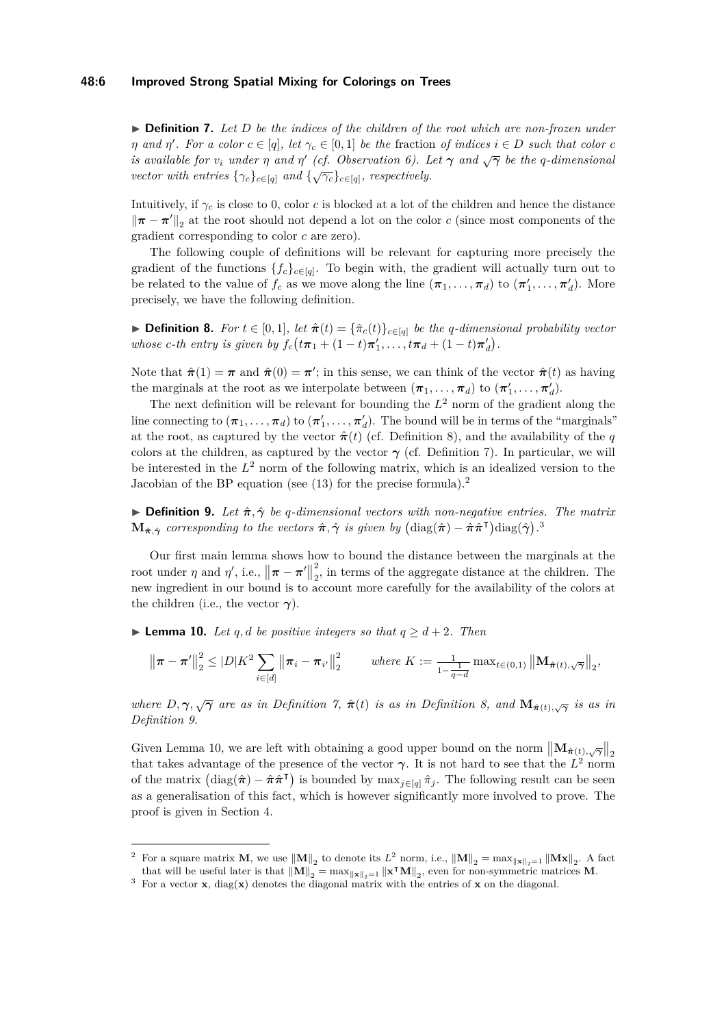<span id="page-5-2"></span>▶ **Definition 7.** Let D be the indices of the children of the root which are non-frozen under *n and η'*. For a color  $c \in [q]$ , let  $\gamma_c \in [0,1]$  be the fraction of indices  $i \in D$  such that color  $c$ *is available for*  $v_i$  *under*  $\eta$  *and*  $\eta'$  *(cf. Observation [6\)](#page-4-0). Let*  $\gamma$  *and*  $\sqrt{\gamma}$  *be the q-dimensional vector with entries*  $\{\gamma_c\}_{c \in [q]}$  *and*  $\{\sqrt{\gamma_c}\}_{c \in [q]}$ *, respectively.* 

Intuitively, if *γ<sup>c</sup>* is close to 0, color *c* is blocked at a lot of the children and hence the distance  $\|\boldsymbol{\pi} - \boldsymbol{\pi}'\|_2$  at the root should not depend a lot on the color *c* (since most components of the gradient corresponding to color *c* are zero).

The following couple of definitions will be relevant for capturing more precisely the gradient of the functions  ${f_c}_{c \in [q]}$ . To begin with, the gradient will actually turn out to be related to the value of  $f_c$  as we move along the line  $(\pi_1, \ldots, \pi_d)$  to  $(\pi'_1, \ldots, \pi'_d)$ . More precisely, we have the following definition.

<span id="page-5-1"></span>▶ **Definition 8.** *For*  $t \in [0,1]$ *, let*  $\hat{\pi}(t) = {\hat{\pi}_c(t)}_{c \in [q]}$  *be the q-dimensional probability vector whose c*-*th* entry is given by  $f_c(t\pi_1 + (1-t)\pi'_1, \ldots, t\pi_d + (1-t)\pi'_d)$ .

Note that  $\hat{\pi}(1) = \pi$  and  $\hat{\pi}(0) = \pi'$ ; in this sense, we can think of the vector  $\hat{\pi}(t)$  as having the marginals at the root as we interpolate between  $(\pi_1, \ldots, \pi_d)$  to  $(\pi'_1, \ldots, \pi'_d)$ .

The next definition will be relevant for bounding the  $L^2$  norm of the gradient along the line connecting to  $(\pi_1, \ldots, \pi_d)$  to  $(\pi'_1, \ldots, \pi'_d)$ . The bound will be in terms of the "marginals" at the root, as captured by the vector  $\hat{\pi}(t)$  (cf. Definition [8\)](#page-5-1), and the availability of the *q* colors at the children, as captured by the vector  $\gamma$  (cf. Definition [7\)](#page-5-2). In particular, we will be interested in the *L* <sup>2</sup> norm of the following matrix, which is an idealized version to the Jacobian of the BP equation (see  $(13)$ ) for the precise formula).<sup>[2](#page-5-3)</sup>

<span id="page-5-5"></span>**If Definition 9.** Let  $\hat{\pi}, \hat{\gamma}$  be *q*-dimensional vectors with non-negative entries. The matrix  $\mathbf{M}_{\hat{\boldsymbol{\pi}},\hat{\boldsymbol{\gamma}}}$  corresponding to the vectors  $\hat{\boldsymbol{\pi}},\hat{\boldsymbol{\gamma}}$  is given by  $(\text{diag}(\hat{\boldsymbol{\pi}}) - \hat{\boldsymbol{\pi}}\hat{\boldsymbol{\pi}}^{\textsf{T}}) \text{diag}(\hat{\boldsymbol{\gamma}})$ .

Our first main lemma shows how to bound the distance between the marginals at the root under *η* and *η'*, i.e.,  $\|\pi - \pi'\|$ 2  $\frac{2}{2}$ , in terms of the aggregate distance at the children. The new ingredient in our bound is to account more carefully for the availability of the colors at the children (i.e., the vector  $\gamma$ ).

<span id="page-5-0"></span>▶ **Lemma 10.** *Let q, d be positive integers so that*  $q \ge d+2$ *. Then* 

$$
\left\|\boldsymbol{\pi} - \boldsymbol{\pi}'\right\|_{2}^{2} \leq |D|K^{2} \sum_{i \in [d]} \left\|\boldsymbol{\pi}_{i} - \boldsymbol{\pi}_{i'}\right\|_{2}^{2} \qquad \text{where } K := \frac{1}{1 - \frac{1}{q - d}} \max_{t \in (0, 1)} \left\|\mathbf{M}_{\hat{\boldsymbol{\pi}}(t), \sqrt{\gamma}}\right\|_{2},
$$

*where*  $D, \gamma, \sqrt{\gamma}$  *are as in Definition* [7,](#page-5-2)  $\hat{\pi}(t)$  *is as in Definition* [8,](#page-5-1) and  $\mathbf{M}_{\hat{\pi}(t),\sqrt{\gamma}}$  *is as in Definition [9.](#page-5-5)*

Given Lemma [10,](#page-5-0) we are left with obtaining a good upper bound on the norm  $\|\mathbf{M}_{\hat{\pi}(t), \sqrt{\gamma}}\|_2$ that takes advantage of the presence of the vector  $\gamma$ . It is not hard to see that the  $L^2$  norm of the matrix  $(\text{diag}(\hat{\boldsymbol{\pi}}) - \hat{\boldsymbol{\pi}} \hat{\boldsymbol{\pi}}^{\text{T}})$  is bounded by max<sub>j∈[*q*]</sub>  $\hat{\pi}_j$ . The following result can be seen as a generalisation of this fact, which is however significantly more involved to prove. The proof is given in Section [4.](#page-6-0)

<span id="page-5-3"></span><sup>&</sup>lt;sup>2</sup> For a square matrix **M**, we use  $\|\mathbf{M}\|_{2}$  to denote its  $L^{2}$  norm, i.e.,  $\|\mathbf{M}\|_{2} = \max_{\|\mathbf{x}\|_{2}=1} \|\mathbf{M}\mathbf{x}\|_{2}$ . A fact that will be useful later is that  $\|\mathbf{M}\|_2 = \max_{\|\mathbf{x}\|_2=1} \|\mathbf{x}^\intercal \mathbf{M}\|_2$ , even for non-symmetric matrices **M**.

<span id="page-5-4"></span><sup>3</sup> For a vector **x**, diag(**x**) denotes the diagonal matrix with the entries of **x** on the diagonal.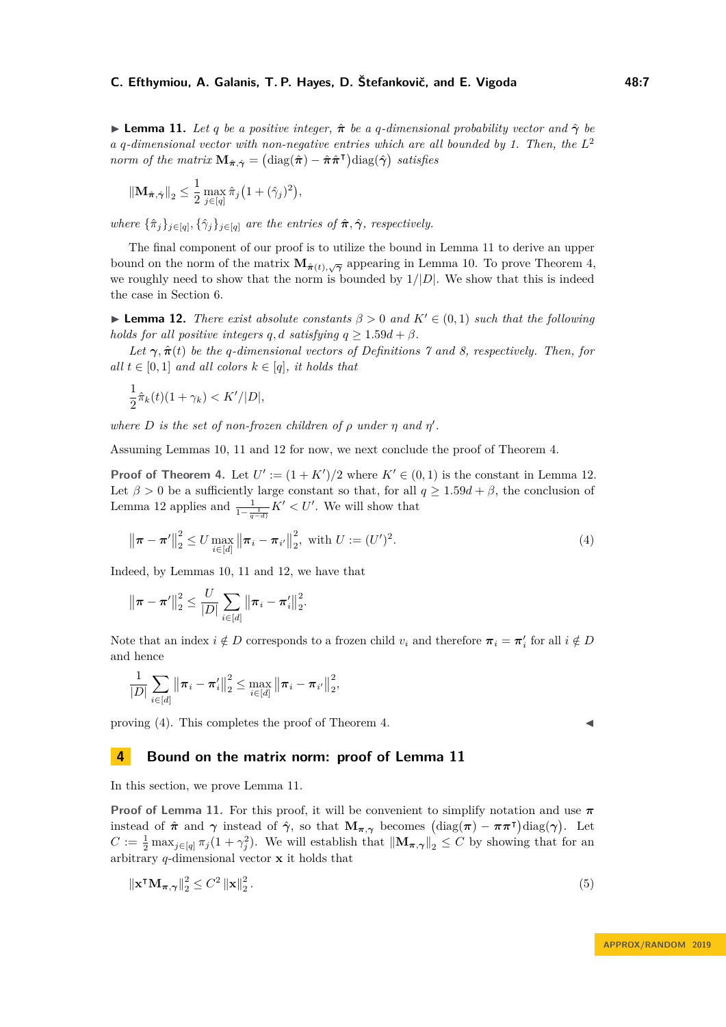<span id="page-6-1"></span>**I Lemma 11.** Let *q* be a positive integer,  $\hat{\pi}$  be a *q*-dimensional probability vector and  $\hat{\gamma}$  be *a q-dimensional vector with non-negative entries which are all bounded by 1. Then, the L* 2 *norm of the matrix*  $\mathbf{M}_{\hat{\boldsymbol{\pi}},\hat{\boldsymbol{\gamma}}} = (\text{diag}(\hat{\boldsymbol{\pi}}) - \hat{\boldsymbol{\pi}}\hat{\boldsymbol{\pi}}^{\textsf{T}}) \text{diag}(\hat{\boldsymbol{\gamma}})$  satisfies

$$
\|\mathbf{M}_{\hat{\boldsymbol{\pi}},\hat{\boldsymbol{\gamma}}}\|_2 \leq \frac{1}{2} \max_{j\in[q]}\hat{\pi}_j \big(1+(\hat{\gamma}_j)^2\big),\
$$

*where*  $\{\hat{\pi}_j\}_{j \in [q]}, \{\hat{\gamma}_j\}_{j \in [q]}$  *are the entries of*  $\hat{\pi}, \hat{\gamma}$ *, respectively.* 

The final component of our proof is to utilize the bound in Lemma [11](#page-6-1) to derive an upper bound on the norm of the matrix  $\mathbf{M}_{\hat{\pi}(t),\sqrt{\gamma}}$  appearing in Lemma [10.](#page-5-0) To prove Theorem [4,](#page-3-3) we roughly need to show that the norm is bounded by  $1/|D|$ . We show that this is indeed the case in Section [6.](#page-10-0)

<span id="page-6-2"></span>**Lemma 12.** *There exist absolute constants*  $\beta > 0$  *and*  $K' \in (0,1)$  *such that the following holds for all positive integers q, d satisfying*  $q \geq 1.59d + \beta$ *.* 

*Let*  $\gamma$ ,  $\hat{\pi}(t)$  *be the q-dimensional vectors of Definitions* [7](#page-5-2) *and* [8,](#page-5-1) respectively. Then, for *all*  $t \in [0, 1]$  *and all colors*  $k \in [q]$ *, it holds that* 

$$
\frac{1}{2}\hat{\pi}_k(t)(1+\gamma_k) < K'/|D|,
$$

*where D is the set of non-frozen children of*  $\rho$  *under*  $\eta$  *and*  $\eta'$ *.* 

Assuming Lemmas [10,](#page-5-0) [11](#page-6-1) and [12](#page-6-2) for now, we next conclude the proof of Theorem [4.](#page-3-3)

**Proof of Theorem [4.](#page-3-3)** Let  $U' := (1 + K')/2$  where  $K' \in (0, 1)$  is the constant in Lemma [12.](#page-6-2) Let  $\beta > 0$  be a sufficiently large constant so that, for all  $q \geq 1.59d + \beta$ , the conclusion of Lemma [12](#page-6-2) applies and  $\frac{1}{1-\frac{1}{q-d}}K' < U'$ . We will show that

$$
\|\boldsymbol{\pi} - \boldsymbol{\pi}'\|_2^2 \le U \max_{i \in [d]} \|\boldsymbol{\pi}_i - \boldsymbol{\pi}_{i'}\|_2^2, \text{ with } U := (U')^2. \tag{4}
$$

Indeed, by Lemmas [10,](#page-5-0) [11](#page-6-1) and [12,](#page-6-2) we have that

$$
\|\boldsymbol{\pi} - \boldsymbol{\pi}'\|_2^2 \leq \frac{U}{|D|} \sum_{i \in [d]} \|\boldsymbol{\pi}_i - \boldsymbol{\pi}'_i\|_2^2.
$$

Note that an index  $i \notin D$  corresponds to a frozen child  $v_i$  and therefore  $\pi_i = \pi'_i$  for all  $i \notin D$ and hence

$$
\frac{1}{|D|}\sum_{i\in[d]}\left\|\pi_{i}-\pi'_{i}\right\|_{2}^{2}\leq\max_{i\in[d]}\left\|\pi_{i}-\pi_{i'}\right\|_{2}^{2},
$$

proving [\(4\)](#page-6-3). This completes the proof of Theorem [4.](#page-3-3)

## <span id="page-6-0"></span>**4 Bound on the matrix norm: proof of Lemma [11](#page-6-1)**

In this section, we prove Lemma [11.](#page-6-1)

**Proof of Lemma [11.](#page-6-1)** For this proof, it will be convenient to simplify notation and use  $\pi$ instead of  $\hat{\pi}$  and  $\gamma$  instead of  $\hat{\gamma}$ , so that  $\mathbf{M}_{\pi,\gamma}$  becomes  $(\text{diag}(\pi) - \pi \pi^{\dagger}) \text{diag}(\gamma)$ . Let  $C := \frac{1}{2} \max_{j \in [q]} \pi_j(1 + \gamma_j^2)$ . We will establish that  $\|\mathbf{M}_{\pi, \gamma}\|_2 \leq C$  by showing that for an arbitrary *q*-dimensional vector **x** it holds that

<span id="page-6-4"></span>
$$
\|\mathbf{x}^{\mathsf{T}}\mathbf{M}_{\pi,\gamma}\|_{2}^{2} \le C^{2} \left\|\mathbf{x}\right\|_{2}^{2}.
$$
\n
$$
(5)
$$

<span id="page-6-3"></span>
$$
\blacktriangleleft
$$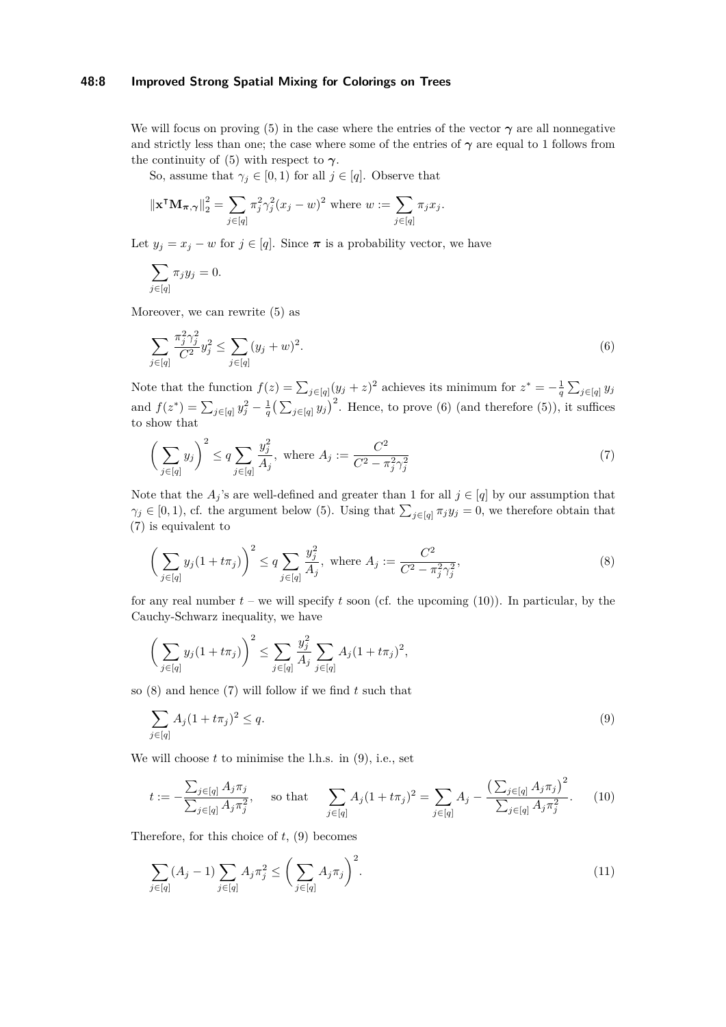## **48:8 Improved Strong Spatial Mixing for Colorings on Trees**

We will focus on proving [\(5\)](#page-6-4) in the case where the entries of the vector  $\gamma$  are all nonnegative and strictly less than one; the case where some of the entries of  $\gamma$  are equal to 1 follows from the continuity of [\(5\)](#page-6-4) with respect to  $\gamma$ .

So, assume that  $\gamma_j \in [0,1)$  for all  $j \in [q]$ . Observe that

$$
\|\mathbf{x}^\mathsf{T}\mathbf{M}_{\boldsymbol{\pi},\boldsymbol{\gamma}}\|^2_2 = \sum_{j\in[q]} \pi_j^2 \gamma_j^2 (x_j - w)^2 \text{ where } w := \sum_{j\in[q]} \pi_j x_j.
$$

Let  $y_j = x_j - w$  for  $j \in [q]$ . Since  $\pi$  is a probability vector, we have

$$
\sum_{j\in[q]} \pi_j y_j = 0.
$$

Moreover, we can rewrite [\(5\)](#page-6-4) as

<span id="page-7-0"></span>
$$
\sum_{j \in [q]} \frac{\pi_j^2 \gamma_j^2}{C^2} y_j^2 \le \sum_{j \in [q]} (y_j + w)^2.
$$
\n(6)

Note that the function  $f(z) = \sum_{j \in [q]} (y_j + z)^2$  achieves its minimum for  $z^* = -\frac{1}{q} \sum_{j \in [q]} y_j$ and  $f(z^*) = \sum_{j \in [q]} y_j^2 - \frac{1}{q} (\sum_{j \in [q]} y_j)^2$ . Hence, to prove [\(6\)](#page-7-0) (and therefore [\(5\)](#page-6-4)), it suffices to show that

<span id="page-7-1"></span>
$$
\left(\sum_{j\in[q]} y_j\right)^2 \le q \sum_{j\in[q]} \frac{y_j^2}{A_j}, \text{ where } A_j := \frac{C^2}{C^2 - \pi_j^2 \gamma_j^2} \tag{7}
$$

Note that the  $A_j$ 's are well-defined and greater than 1 for all  $j \in [q]$  by our assumption that  $\gamma_j \in [0, 1)$ , cf. the argument below [\(5\)](#page-6-4). Using that  $\sum_{j \in [q]} \pi_j y_j = 0$ , we therefore obtain that [\(7\)](#page-7-1) is equivalent to

<span id="page-7-3"></span>
$$
\left(\sum_{j\in[q]} y_j(1+t\pi_j)\right)^2 \le q \sum_{j\in[q]} \frac{y_j^2}{A_j}, \text{ where } A_j := \frac{C^2}{C^2 - \pi_j^2 \gamma_j^2},\tag{8}
$$

for any real number  $t -$  we will specify  $t$  soon (cf. the upcoming  $(10)$ ). In particular, by the Cauchy-Schwarz inequality, we have

$$
\left(\sum_{j\in[q]} y_j(1+t\pi_j)\right)^2 \le \sum_{j\in[q]} \frac{y_j^2}{A_j} \sum_{j\in[q]} A_j(1+t\pi_j)^2,
$$

so [\(8\)](#page-7-3) and hence [\(7\)](#page-7-1) will follow if we find *t* such that

<span id="page-7-4"></span><span id="page-7-2"></span>
$$
\sum_{j \in [q]} A_j (1 + t \pi_j)^2 \le q. \tag{9}
$$

We will choose  $t$  to minimise the l.h.s. in  $(9)$ , i.e., set

$$
t := -\frac{\sum_{j \in [q]} A_j \pi_j}{\sum_{j \in [q]} A_j \pi_j^2}, \quad \text{so that} \quad \sum_{j \in [q]} A_j (1 + t \pi_j)^2 = \sum_{j \in [q]} A_j - \frac{\left(\sum_{j \in [q]} A_j \pi_j\right)^2}{\sum_{j \in [q]} A_j \pi_j^2}.
$$
 (10)

Therefore, for this choice of *t*, [\(9\)](#page-7-4) becomes

<span id="page-7-5"></span>
$$
\sum_{j \in [q]} (A_j - 1) \sum_{j \in [q]} A_j \pi_j^2 \le \left( \sum_{j \in [q]} A_j \pi_j \right)^2.
$$
 (11)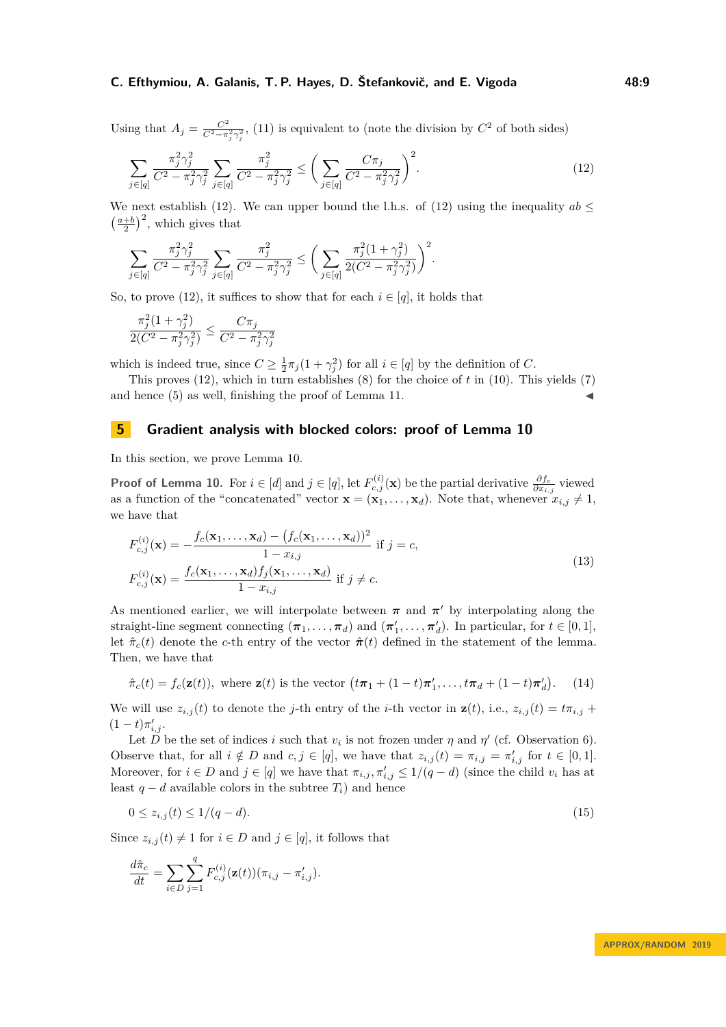Using that  $A_j = \frac{C^2}{C^2 - \pi}$  $\frac{C^2}{C^2 - \pi_j^2 \gamma_j^2}$ , [\(11\)](#page-7-5) is equivalent to (note the division by  $C^2$  of both sides)

<span id="page-8-1"></span>
$$
\sum_{j \in [q]} \frac{\pi_j^2 \gamma_j^2}{C^2 - \pi_j^2 \gamma_j^2} \sum_{j \in [q]} \frac{\pi_j^2}{C^2 - \pi_j^2 \gamma_j^2} \le \left(\sum_{j \in [q]} \frac{C \pi_j}{C^2 - \pi_j^2 \gamma_j^2}\right)^2.
$$
\n(12)

We next establish [\(12\)](#page-8-1). We can upper bound the l.h.s. of (12) using the inequality  $ab \leq$  $\left(\frac{a+b}{2}\right)^2$ , which gives that

$$
\sum_{j \in [q]} \frac{\pi_j^2 \gamma_j^2}{C^2 - \pi_j^2 \gamma_j^2} \sum_{j \in [q]} \frac{\pi_j^2}{C^2 - \pi_j^2 \gamma_j^2} \le \bigg(\sum_{j \in [q]} \frac{\pi_j^2 (1 + \gamma_j^2)}{2(C^2 - \pi_j^2 \gamma_j^2)}\bigg)^2.
$$

So, to prove [\(12\)](#page-8-1), it suffices to show that for each  $i \in [q]$ , it holds that

$$
\frac{\pi_j^2 (1+\gamma_j^2)}{2(C^2 - \pi_j^2 \gamma_j^2)} \le \frac{C\pi_j}{C^2 - \pi_j^2 \gamma_j^2}
$$

which is indeed true, since  $C \geq \frac{1}{2}\pi_j(1+\gamma_j^2)$  for all  $i \in [q]$  by the definition of *C*.

This proves [\(12\)](#page-8-1), which in turn establishes [\(8\)](#page-7-3) for the choice of *t* in [\(10\)](#page-7-2). This yields [\(7\)](#page-7-1) and hence  $(5)$  as well, finishing the proof of Lemma [11.](#page-6-1)

## **5 Gradient analysis with blocked colors: proof of Lemma [10](#page-5-0)**

In this section, we prove Lemma [10.](#page-5-0)

**Proof of Lemma [10.](#page-5-0)** For  $i \in [d]$  and  $j \in [q]$ , let  $F_{c,j}^{(i)}(\mathbf{x})$  be the partial derivative  $\frac{\partial f_c}{\partial x_{i,j}}$  viewed as a function of the "concatenated" vector  $\mathbf{x} = (\mathbf{x}_1, \dots, \mathbf{x}_d)$ . Note that, whenever  $x_{i,j} \neq 1$ , we have that

<span id="page-8-0"></span>
$$
F_{c,j}^{(i)}(\mathbf{x}) = -\frac{f_c(\mathbf{x}_1, \dots, \mathbf{x}_d) - (f_c(\mathbf{x}_1, \dots, \mathbf{x}_d))^2}{1 - x_{i,j}} \text{ if } j = c,
$$
  
\n
$$
F_{c,j}^{(i)}(\mathbf{x}) = \frac{f_c(\mathbf{x}_1, \dots, \mathbf{x}_d) f_j(\mathbf{x}_1, \dots, \mathbf{x}_d)}{1 - x_{i,j}} \text{ if } j \neq c.
$$
\n(13)

As mentioned earlier, we will interpolate between  $\pi$  and  $\pi'$  by interpolating along the straight-line segment connecting  $(\pi_1, \ldots, \pi_d)$  and  $(\pi'_1, \ldots, \pi'_d)$ . In particular, for  $t \in [0, 1]$ , let  $\hat{\pi}_c(t)$  denote the *c*-th entry of the vector  $\hat{\pi}(t)$  defined in the statement of the lemma. Then, we have that

<span id="page-8-2"></span>
$$
\hat{\pi}_c(t) = f_c(\mathbf{z}(t)), \text{ where } \mathbf{z}(t) \text{ is the vector } (t\boldsymbol{\pi}_1 + (1-t)\boldsymbol{\pi}_1', \dots, t\boldsymbol{\pi}_d + (1-t)\boldsymbol{\pi}_d'). \tag{14}
$$

We will use  $z_{i,j}(t)$  to denote the *j*-th entry of the *i*-th vector in  $z(t)$ , i.e.,  $z_{i,j}(t) = t\pi_{i,j}$  +  $(1-t)\pi'_{i,j}$ .

Let  $\overline{D}$  be the set of indices *i* such that  $v_i$  is not frozen under  $\eta$  and  $\eta'$  (cf. Observation [6\)](#page-4-0). Observe that, for all  $i \notin D$  and  $c, j \in [q]$ , we have that  $z_{i,j}(t) = \pi_{i,j} = \pi'_{i,j}$  for  $t \in [0,1]$ . Moreover, for  $i \in D$  and  $j \in [q]$  we have that  $\pi_{i,j}$ ,  $\pi'_{i,j} \leq 1/(q-d)$  (since the child  $v_i$  has at least  $q - d$  available colors in the subtree  $T_i$ ) and hence

$$
0 \le z_{i,j}(t) \le 1/(q-d). \tag{15}
$$

Since  $z_{i,j}(t) \neq 1$  for  $i \in D$  and  $j \in [q]$ , it follows that

$$
\frac{d\hat{\pi}_c}{dt} = \sum_{i \in D} \sum_{j=1}^q F_{c,j}^{(i)}(\mathbf{z}(t)) (\pi_{i,j} - \pi'_{i,j}).
$$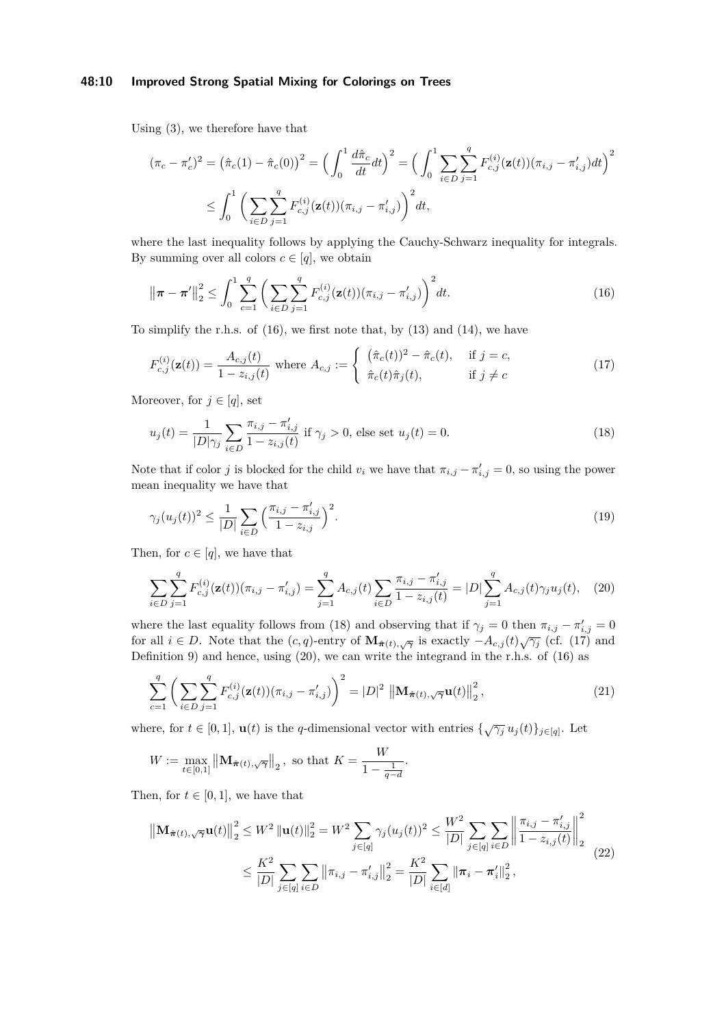## **48:10 Improved Strong Spatial Mixing for Colorings on Trees**

Using [\(3\)](#page-4-1), we therefore have that

$$
(\pi_c - \pi_c')^2 = (\hat{\pi}_c(1) - \hat{\pi}_c(0))^2 = \left(\int_0^1 \frac{d\hat{\pi}_c}{dt} dt\right)^2 = \left(\int_0^1 \sum_{i \in D} \sum_{j=1}^q F_{c,j}^{(i)}(\mathbf{z}(t)) (\pi_{i,j} - \pi_{i,j}') dt\right)^2
$$
  

$$
\leq \int_0^1 \left(\sum_{i \in D} \sum_{j=1}^q F_{c,j}^{(i)}(\mathbf{z}(t)) (\pi_{i,j} - \pi_{i,j}')\right)^2 dt,
$$

where the last inequality follows by applying the Cauchy-Schwarz inequality for integrals. By summing over all colors  $c \in [q]$ , we obtain

<span id="page-9-0"></span>
$$
\left\|\pi - \pi'\right\|_{2}^{2} \leq \int_{0}^{1} \sum_{c=1}^{q} \left(\sum_{i \in D} \sum_{j=1}^{q} F_{c,j}^{(i)}(\mathbf{z}(t)) (\pi_{i,j} - \pi'_{i,j})\right)^{2} dt.
$$
 (16)

To simplify the r.h.s. of [\(16\)](#page-9-0), we first note that, by [\(13\)](#page-8-0) and [\(14\)](#page-8-2), we have

<span id="page-9-2"></span>
$$
F_{c,j}^{(i)}(\mathbf{z}(t)) = \frac{A_{c,j}(t)}{1 - z_{i,j}(t)} \text{ where } A_{c,j} := \begin{cases} (\hat{\pi}_c(t))^2 - \hat{\pi}_c(t), & \text{if } j = c, \\ \hat{\pi}_c(t)\hat{\pi}_j(t), & \text{if } j \neq c \end{cases}
$$
(17)

Moreover, for  $j \in [q]$ , set

<span id="page-9-1"></span>
$$
u_j(t) = \frac{1}{|D|\gamma_j} \sum_{i \in D} \frac{\pi_{i,j} - \pi'_{i,j}}{1 - z_{i,j}(t)} \text{ if } \gamma_j > 0 \text{, else set } u_j(t) = 0. \tag{18}
$$

Note that if color *j* is blocked for the child  $v_i$  we have that  $\pi_{i,j} - \pi'_{i,j} = 0$ , so using the power mean inequality we have that

<span id="page-9-4"></span>
$$
\gamma_j(u_j(t))^2 \le \frac{1}{|D|} \sum_{i \in D} \left( \frac{\pi_{i,j} - \pi'_{i,j}}{1 - z_{i,j}} \right)^2.
$$
\n(19)

Then, for  $c \in [q]$ , we have that

<span id="page-9-3"></span>
$$
\sum_{i \in D} \sum_{j=1}^{q} F_{c,j}^{(i)}(\mathbf{z}(t)) (\pi_{i,j} - \pi'_{i,j}) = \sum_{j=1}^{q} A_{c,j}(t) \sum_{i \in D} \frac{\pi_{i,j} - \pi'_{i,j}}{1 - z_{i,j}(t)} = |D| \sum_{j=1}^{q} A_{c,j}(t) \gamma_j u_j(t), \quad (20)
$$

where the last equality follows from [\(18\)](#page-9-1) and observing that if  $\gamma_j = 0$  then  $\pi_{i,j} - \pi'_{i,j} = 0$ for all  $i \in D$ . Note that the  $(c, q)$ -entry of  $\mathbf{M}_{\hat{\pi}(t), \sqrt{\gamma}}$  is exactly  $-A_{c,j}(t)\sqrt{\gamma_j}$  (cf. [\(17\)](#page-9-2) and Definition [9\)](#page-5-5) and hence, using [\(20\)](#page-9-3), we can write the integrand in the r.h.s. of [\(16\)](#page-9-0) as

<span id="page-9-5"></span>
$$
\sum_{c=1}^{q} \left( \sum_{i \in D} \sum_{j=1}^{q} F_{c,j}^{(i)}(\mathbf{z}(t)) (\pi_{i,j} - \pi'_{i,j}) \right)^2 = |D|^2 \left\| \mathbf{M}_{\hat{\boldsymbol{\pi}}(t), \sqrt{\gamma}} \mathbf{u}(t) \right\|_2^2, \tag{21}
$$

where, for  $t \in [0, 1]$ ,  $\mathbf{u}(t)$  is the *q*-dimensional vector with entries  $\{\sqrt{\gamma_j} u_j(t)\}_{j \in [q]}$ . Let

<span id="page-9-6"></span>
$$
W := \max_{t \in [0,1]} ||\mathbf{M}_{\hat{\boldsymbol{\pi}}(t), \sqrt{\gamma}}||_2, \text{ so that } K = \frac{W}{1 - \frac{1}{q-d}}.
$$

Then, for  $t \in [0, 1]$ , we have that

$$
\|\mathbf{M}_{\hat{\boldsymbol{\pi}}(t),\sqrt{\gamma}}\mathbf{u}(t)\|_{2}^{2} \leq W^{2} \|\mathbf{u}(t)\|_{2}^{2} = W^{2} \sum_{j \in [q]} \gamma_{j} (u_{j}(t))^{2} \leq \frac{W^{2}}{|D|} \sum_{j \in [q]} \sum_{i \in D} \left\|\frac{\pi_{i,j} - \pi'_{i,j}}{1 - z_{i,j}(t)}\right\|_{2}^{2}
$$

$$
\leq \frac{K^{2}}{|D|} \sum_{j \in [q]} \sum_{i \in D} \left\|\pi_{i,j} - \pi'_{i,j}\right\|_{2}^{2} = \frac{K^{2}}{|D|} \sum_{i \in [d]} \left\|\pi_{i} - \pi'_{i}\right\|_{2}^{2},
$$
\n(22)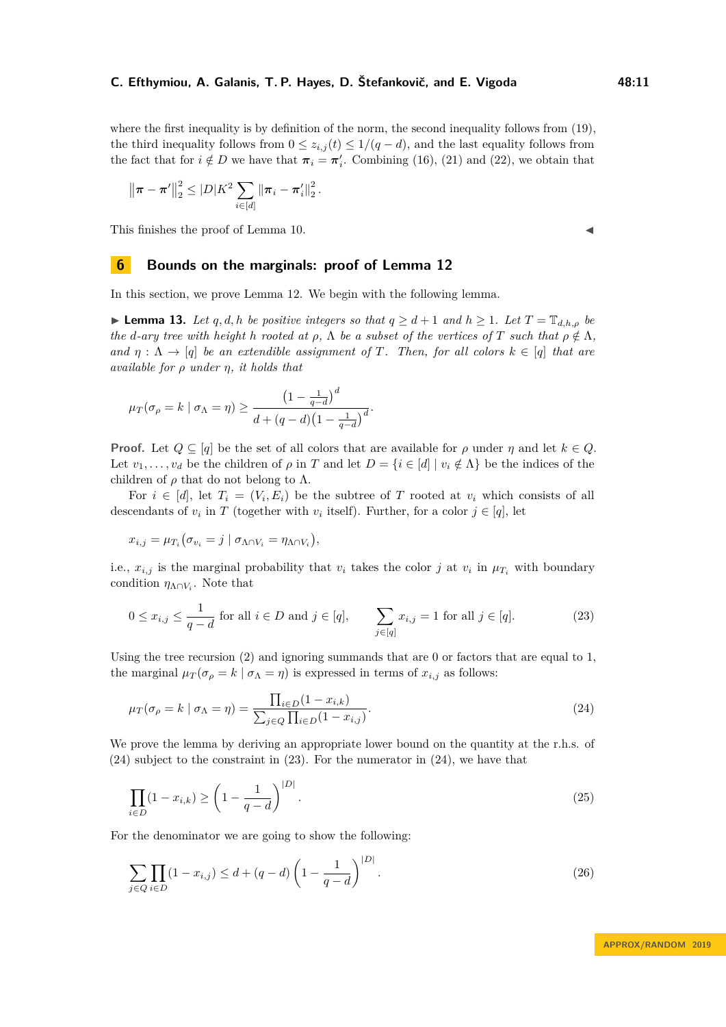where the first inequality is by definition of the norm, the second inequality follows from [\(19\)](#page-9-4), the third inequality follows from  $0 \leq z_{i,j}(t) \leq 1/(q-d)$ , and the last equality follows from the fact that for  $i \notin D$  we have that  $\pi_i = \pi'_i$ . Combining [\(16\)](#page-9-0), [\(21\)](#page-9-5) and [\(22\)](#page-9-6), we obtain that

$$
\left\|\boldsymbol{\pi}-\boldsymbol{\pi}'\right\|_{2}^{2} \leq |D|K^{2} \sum_{i\in[d]}\left\|\boldsymbol{\pi}_{i}-\boldsymbol{\pi}'_{i}\right\|_{2}^{2}.
$$

This finishes the proof of Lemma [10.](#page-5-0)

# <span id="page-10-0"></span>**6 Bounds on the marginals: proof of Lemma [12](#page-6-2)**

In this section, we prove Lemma [12.](#page-6-2) We begin with the following lemma.

<span id="page-10-5"></span>► **Lemma 13.** Let *q, d, h be positive integers so that*  $q \geq d+1$  *and*  $h \geq 1$ *. Let*  $T = \mathbb{T}_{d,h,o}$  *be the d*-ary tree with height *h* rooted at  $\rho$ ,  $\Lambda$  *be a subset of the vertices of T such that*  $\rho \notin \Lambda$ *, and*  $\eta : \Lambda \to [q]$  *be an extendible assignment of T. Then, for all colors*  $k \in [q]$  *that are available for ρ under η, it holds that*

$$
\mu_T(\sigma_\rho = k \mid \sigma_\Lambda = \eta) \ge \frac{\left(1 - \frac{1}{q - d}\right)^d}{d + (q - d)\left(1 - \frac{1}{q - d}\right)^d}.
$$

**Proof.** Let  $Q \subseteq [q]$  be the set of all colors that are available for  $\rho$  under  $\eta$  and let  $k \in Q$ . Let  $v_1, \ldots, v_d$  be the children of  $\rho$  in *T* and let  $D = \{i \in [d] \mid v_i \notin \Lambda\}$  be the indices of the children of  $\rho$  that do not belong to  $\Lambda$ .

For  $i \in [d]$ , let  $T_i = (V_i, E_i)$  be the subtree of T rooted at  $v_i$  which consists of all descendants of  $v_i$  in *T* (together with  $v_i$  itself). Further, for a color  $j \in [q]$ , let

$$
x_{i,j} = \mu_{T_i}(\sigma_{v_i} = j \mid \sigma_{\Lambda \cap V_i} = \eta_{\Lambda \cap V_i}),
$$

i.e.,  $x_{i,j}$  is the marginal probability that  $v_i$  takes the color *j* at  $v_i$  in  $\mu_{T_i}$  with boundary condition  $\eta_{\Lambda \cap V_i}$ . Note that

<span id="page-10-2"></span>
$$
0 \le x_{i,j} \le \frac{1}{q-d} \text{ for all } i \in D \text{ and } j \in [q], \qquad \sum_{j \in [q]} x_{i,j} = 1 \text{ for all } j \in [q]. \tag{23}
$$

Using the tree recursion  $(2)$  and ignoring summands that are 0 or factors that are equal to 1, the marginal  $\mu_T(\sigma_{\rho} = k \mid \sigma_{\Lambda} = \eta)$  is expressed in terms of  $x_{i,j}$  as follows:

<span id="page-10-1"></span>
$$
\mu_T(\sigma_\rho = k \mid \sigma_\Lambda = \eta) = \frac{\prod_{i \in D} (1 - x_{i,k})}{\sum_{j \in Q} \prod_{i \in D} (1 - x_{i,j})}.
$$
\n(24)

We prove the lemma by deriving an appropriate lower bound on the quantity at the r.h.s. of [\(24\)](#page-10-1) subject to the constraint in [\(23\)](#page-10-2). For the numerator in [\(24\)](#page-10-1), we have that

<span id="page-10-4"></span>
$$
\prod_{i \in D} (1 - x_{i,k}) \ge \left(1 - \frac{1}{q - d}\right)^{|D|}.
$$
\n(25)

For the denominator we are going to show the following:

<span id="page-10-3"></span>
$$
\sum_{j \in Q} \prod_{i \in D} (1 - x_{i,j}) \le d + (q - d) \left( 1 - \frac{1}{q - d} \right)^{|D|}.
$$
\n(26)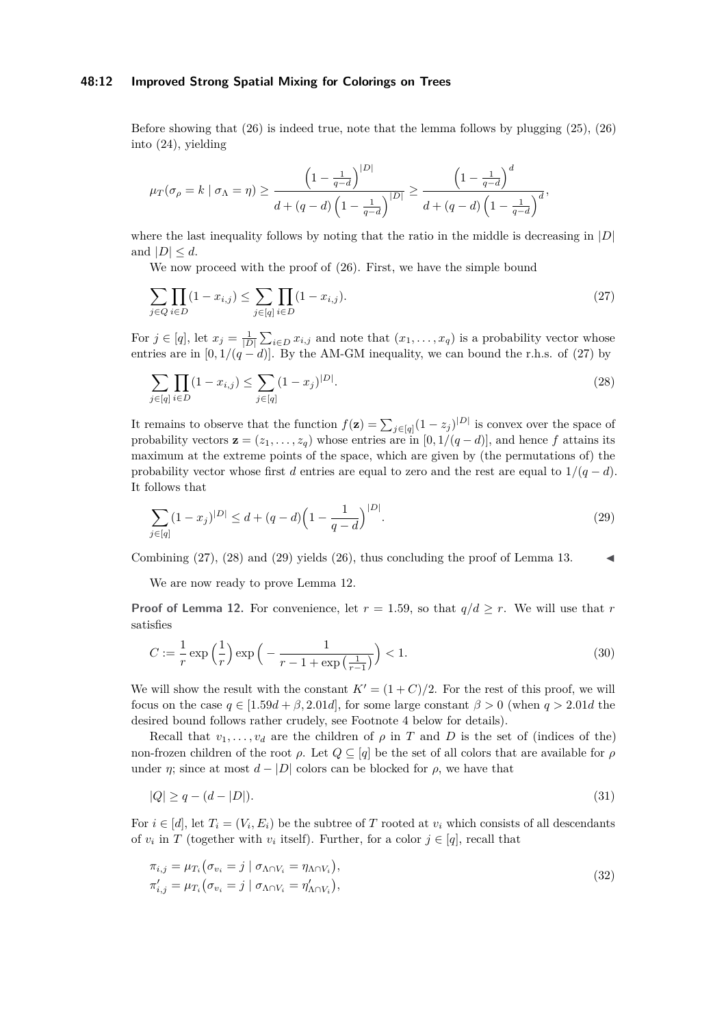#### **48:12 Improved Strong Spatial Mixing for Colorings on Trees**

Before showing that [\(26\)](#page-10-3) is indeed true, note that the lemma follows by plugging [\(25\)](#page-10-4), [\(26\)](#page-10-3) into [\(24\)](#page-10-1), yielding

$$
\mu_T(\sigma_\rho = k \mid \sigma_\Lambda = \eta) \ge \frac{\left(1 - \frac{1}{q - d}\right)^{|D|}}{d + (q - d)\left(1 - \frac{1}{q - d}\right)^{|D|}} \ge \frac{\left(1 - \frac{1}{q - d}\right)^d}{d + (q - d)\left(1 - \frac{1}{q - d}\right)^d},
$$

where the last inequality follows by noting that the ratio in the middle is decreasing in |*D*| and  $|D| \leq d$ .

<span id="page-11-0"></span>We now proceed with the proof of  $(26)$ . First, we have the simple bound

$$
\sum_{j \in Q} \prod_{i \in D} (1 - x_{i,j}) \le \sum_{j \in [q]} \prod_{i \in D} (1 - x_{i,j}).
$$
\n(27)

For  $j \in [q]$ , let  $x_j = \frac{1}{|D|} \sum_{i \in D} x_{i,j}$  and note that  $(x_1, \ldots, x_q)$  is a probability vector whose entries are in  $[0, 1/(q - d)]$ . By the AM-GM inequality, we can bound the r.h.s. of [\(27\)](#page-11-0) by

<span id="page-11-1"></span>
$$
\sum_{j \in [q]} \prod_{i \in D} (1 - x_{i,j}) \le \sum_{j \in [q]} (1 - x_j)^{|D|}.
$$
\n(28)

It remains to observe that the function  $f(z) = \sum_{j \in [q]} (1 - z_j)^{|D|}$  is convex over the space of probability vectors  $\mathbf{z} = (z_1, \ldots, z_q)$  whose entries are in  $[0, 1/(q-d)]$ , and hence *f* attains its maximum at the extreme points of the space, which are given by (the permutations of) the probability vector whose first *d* entries are equal to zero and the rest are equal to  $1/(q - d)$ . It follows that

<span id="page-11-2"></span>
$$
\sum_{j \in [q]} (1 - x_j)^{|D|} \le d + (q - d) \left( 1 - \frac{1}{q - d} \right)^{|D|}.
$$
\n(29)

Combining  $(27)$ ,  $(28)$  and  $(29)$  yields  $(26)$ , thus concluding the proof of Lemma [13.](#page-10-5)

We are now ready to prove Lemma [12.](#page-6-2)

**Proof of Lemma [12.](#page-6-2)** For convenience, let  $r = 1.59$ , so that  $q/d \geq r$ . We will use that r satisfies

<span id="page-11-4"></span>
$$
C := \frac{1}{r} \exp\left(\frac{1}{r}\right) \exp\left(-\frac{1}{r - 1 + \exp\left(\frac{1}{r - 1}\right)}\right) < 1. \tag{30}
$$

We will show the result with the constant  $K' = (1 + C)/2$ . For the rest of this proof, we will focus on the case  $q \in [1.59d + \beta, 2.01d]$ , for some large constant  $\beta > 0$  (when  $q > 2.01d$  the desired bound follows rather crudely, see Footnote [4](#page-12-0) below for details).

Recall that  $v_1, \ldots, v_d$  are the children of  $\rho$  in  $T$  and  $D$  is the set of (indices of the) non-frozen children of the root *ρ*. Let  $Q \subseteq [q]$  be the set of all colors that are available for *ρ* under *η*; since at most  $d - |D|$  colors can be blocked for  $\rho$ , we have that

<span id="page-11-3"></span>
$$
|Q| \ge q - (d - |D|). \tag{31}
$$

For  $i \in [d]$ , let  $T_i = (V_i, E_i)$  be the subtree of  $T$  rooted at  $v_i$  which consists of all descendants of  $v_i$  in *T* (together with  $v_i$  itself). Further, for a color  $j \in [q]$ , recall that

$$
\pi_{i,j} = \mu_{T_i} \left( \sigma_{v_i} = j \mid \sigma_{\Lambda \cap V_i} = \eta_{\Lambda \cap V_i} \right),
$$
  
\n
$$
\pi'_{i,j} = \mu_{T_i} \left( \sigma_{v_i} = j \mid \sigma_{\Lambda \cap V_i} = \eta'_{\Lambda \cap V_i} \right),
$$
\n(32)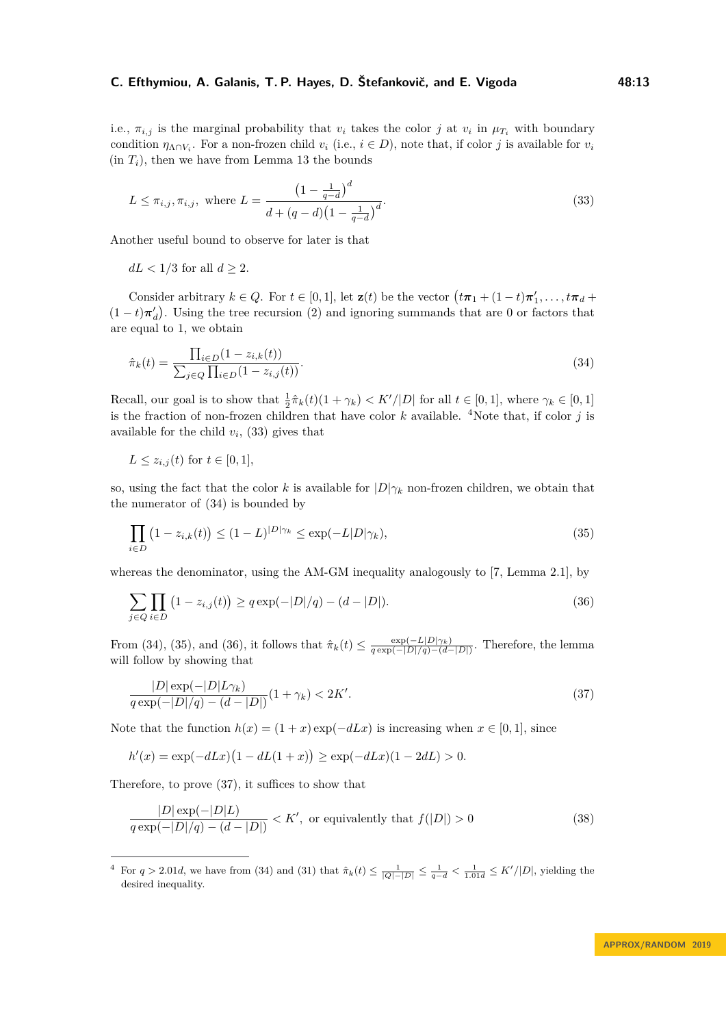i.e.,  $\pi_{i,j}$  is the marginal probability that  $v_i$  takes the color *j* at  $v_i$  in  $\mu_{T_i}$  with boundary condition  $\eta_{\Lambda \cap V_i}$ . For a non-frozen child  $v_i$  (i.e.,  $i \in D$ ), note that, if color *j* is available for  $v_i$  $(in T<sub>i</sub>)$ , then we have from Lemma [13](#page-10-5) the bounds

<span id="page-12-1"></span>
$$
L \le \pi_{i,j}, \pi_{i,j}, \text{ where } L = \frac{\left(1 - \frac{1}{q - d}\right)^d}{d + (q - d)\left(1 - \frac{1}{q - d}\right)^d}.
$$
\n(33)

Another useful bound to observe for later is that

 $dL < 1/3$  for all  $d \geq 2$ .

Consider arbitrary  $k \in Q$ . For  $t \in [0,1]$ , let  $\mathbf{z}(t)$  be the vector  $(t\pi_1 + (1-t)\pi'_1, \ldots, t\pi_d +$  $(1-t)\pi_d'$ ). Using the tree recursion [\(2\)](#page-4-2) and ignoring summands that are 0 or factors that are equal to 1, we obtain

<span id="page-12-2"></span>
$$
\hat{\pi}_k(t) = \frac{\prod_{i \in D} (1 - z_{i,k}(t))}{\sum_{j \in Q} \prod_{i \in D} (1 - z_{i,j}(t))}.
$$
\n(34)

Recall, our goal is to show that  $\frac{1}{2}\hat{\pi}_k(t)(1 + \gamma_k) < K'/|D|$  for all  $t \in [0, 1]$ , where  $\gamma_k \in [0, 1]$ is the fraction of non-frozen children that have color  $k$  available. <sup>[4](#page-12-0)</sup>Note that, if color  $j$  is available for the child  $v_i$ ,  $(33)$  gives that

$$
L \le z_{i,j}(t) \text{ for } t \in [0,1],
$$

so, using the fact that the color *k* is available for  $|D|\gamma_k$  non-frozen children, we obtain that the numerator of [\(34\)](#page-12-2) is bounded by

<span id="page-12-3"></span>
$$
\prod_{i \in D} (1 - z_{i,k}(t)) \le (1 - L)^{|D| \gamma_k} \le \exp(-L|D|\gamma_k),\tag{35}
$$

whereas the denominator, using the AM-GM inequality analogously to [\[7,](#page-14-11) Lemma 2.1], by

<span id="page-12-4"></span>
$$
\sum_{j \in Q} \prod_{i \in D} (1 - z_{i,j}(t)) \ge q \exp(-|D|/q) - (d - |D|).
$$
\n(36)

From [\(34\)](#page-12-2), [\(35\)](#page-12-3), and [\(36\)](#page-12-4), it follows that  $\hat{\pi}_k(t) \leq \frac{\exp(-L|D|\gamma_k)}{q \exp(-|D|/q) - (d-|D|)}$ . Therefore, the lemma will follow by showing that

<span id="page-12-5"></span>
$$
\frac{|D|\exp(-|D|L\gamma_k)}{q\exp(-|D|/q) - (d-|D|)}(1+\gamma_k) < 2K'.
$$
\n(37)

Note that the function  $h(x) = (1+x) \exp(-dLx)$  is increasing when  $x \in [0,1]$ , since

$$
h'(x) = \exp(-dLx)(1 - dL(1 + x)) \ge \exp(-dLx)(1 - 2dL) > 0.
$$

Therefore, to prove [\(37\)](#page-12-5), it suffices to show that

<span id="page-12-6"></span>
$$
\frac{|D|\exp(-|D|L)}{q\exp(-|D|/q) - (d-|D|)} < K', \text{ or equivalently that } f(|D|) > 0 \tag{38}
$$

<span id="page-12-0"></span><sup>&</sup>lt;sup>4</sup> For  $q > 2.01d$ , we have from [\(34\)](#page-12-2) and [\(31\)](#page-11-3) that  $\hat{\pi}_k(t) \leq \frac{1}{|Q|-|D|} \leq \frac{1}{q-d} < \frac{1}{1.01d} \leq K'/|D|$ , yielding the desired inequality.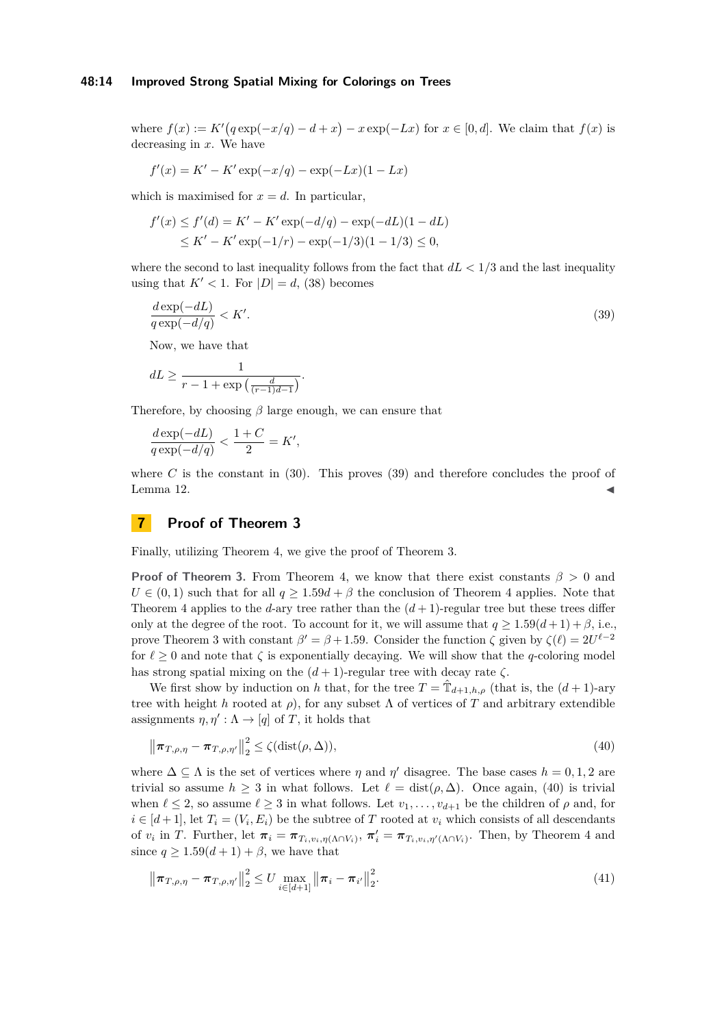#### **48:14 Improved Strong Spatial Mixing for Colorings on Trees**

where  $f(x) := K'(q \exp(-x/q) - d + x) - x \exp(-Lx)$  for  $x \in [0, d]$ . We claim that  $f(x)$  is decreasing in *x*. We have

$$
f'(x) = K' - K' \exp(-x/q) - \exp(-Lx)(1 - Lx)
$$

which is maximised for  $x = d$ . In particular,

$$
f'(x) \le f'(d) = K' - K' \exp(-d/q) - \exp(-dL)(1 - dL)
$$
  
 
$$
\le K' - K' \exp(-1/r) - \exp(-1/3)(1 - 1/3) \le 0,
$$

where the second to last inequality follows from the fact that  $dL < 1/3$  and the last inequality using that  $K' < 1$ . For  $|D| = d$ , [\(38\)](#page-12-6) becomes

<span id="page-13-1"></span>
$$
\frac{d \exp(-dL)}{q \exp(-d/q)} < K'.\tag{39}
$$
\nNow, we have that

\n
$$
dL \ge \frac{1}{\sqrt{d}} \exp\left(-\frac{dL}{d}\right).
$$

 $\frac{1}{r-1+\exp\left(\frac{d}{(r-1)d-1}\right)}$ .

Therefore, by choosing *β* large enough, we can ensure that

$$
\frac{d\exp(-dL)}{q\exp(-d/q)} < \frac{1+C}{2} = K',
$$

where  $C$  is the constant in  $(30)$ . This proves  $(39)$  and therefore concludes the proof of Lemma [12.](#page-6-2)  $\blacksquare$ 

# <span id="page-13-0"></span>**7 Proof of Theorem [3](#page-3-0)**

Finally, utilizing Theorem [4,](#page-3-3) we give the proof of Theorem [3.](#page-3-0)

**Proof of Theorem [3.](#page-3-0)** From Theorem [4,](#page-3-3) we know that there exist constants  $\beta > 0$  and  $U \in (0,1)$  such that for all  $q \geq 1.59d + \beta$  the conclusion of Theorem [4](#page-3-3) applies. Note that Theorem [4](#page-3-3) applies to the *d*-ary tree rather than the  $(d+1)$ -regular tree but these trees differ only at the degree of the root. To account for it, we will assume that  $q \ge 1.59(d+1) + \beta$ , i.e., prove Theorem [3](#page-3-0) with constant  $\beta' = \beta + 1.59$ . Consider the function  $\zeta$  given by  $\zeta(\ell) = 2U^{\ell-2}$ for  $\ell \geq 0$  and note that  $\zeta$  is exponentially decaying. We will show that the *q*-coloring model has strong spatial mixing on the  $(d+1)$ -regular tree with decay rate  $\zeta$ .

We first show by induction on *h* that, for the tree  $T = \hat{T}_{d+1,h,\rho}$  (that is, the  $(d+1)$ -ary tree with height *h* rooted at  $\rho$ ), for any subset  $\Lambda$  of vertices of *T* and arbitrary extendible assignments  $\eta, \eta' : \Lambda \to [q]$  of *T*, it holds that

<span id="page-13-2"></span>
$$
\left\|\boldsymbol{\pi}_{T,\rho,\eta} - \boldsymbol{\pi}_{T,\rho,\eta'}\right\|_{2}^{2} \leq \zeta(\text{dist}(\rho,\Delta)),\tag{40}
$$

where  $\Delta \subseteq \Lambda$  is the set of vertices where  $\eta$  and  $\eta'$  disagree. The base cases  $h = 0, 1, 2$  are trivial so assume  $h \geq 3$  in what follows. Let  $\ell = \text{dist}(\rho, \Delta)$ . Once again, [\(40\)](#page-13-2) is trivial when  $\ell \leq 2$ , so assume  $\ell \geq 3$  in what follows. Let  $v_1, \ldots, v_{d+1}$  be the children of  $\rho$  and, for  $i \in [d+1]$ , let  $T_i = (V_i, E_i)$  be the subtree of *T* rooted at  $v_i$  which consists of all descendants of  $v_i$  in T. Further, let  $\pi_i = \pi_{T_i, v_i, \eta(\Lambda \cap V_i)}$ ,  $\pi'_i = \pi_{T_i, v_i, \eta'(\Lambda \cap V_i)}$ . Then, by Theorem [4](#page-3-3) and since  $q \geq 1.59(d+1) + \beta$ , we have that

<span id="page-13-3"></span>
$$
\left\|\pi_{T,\rho,\eta} - \pi_{T,\rho,\eta'}\right\|_{2}^{2} \leq U \max_{i \in [d+1]} \left\|\pi_{i} - \pi_{i'}\right\|_{2}^{2}.
$$
\n(41)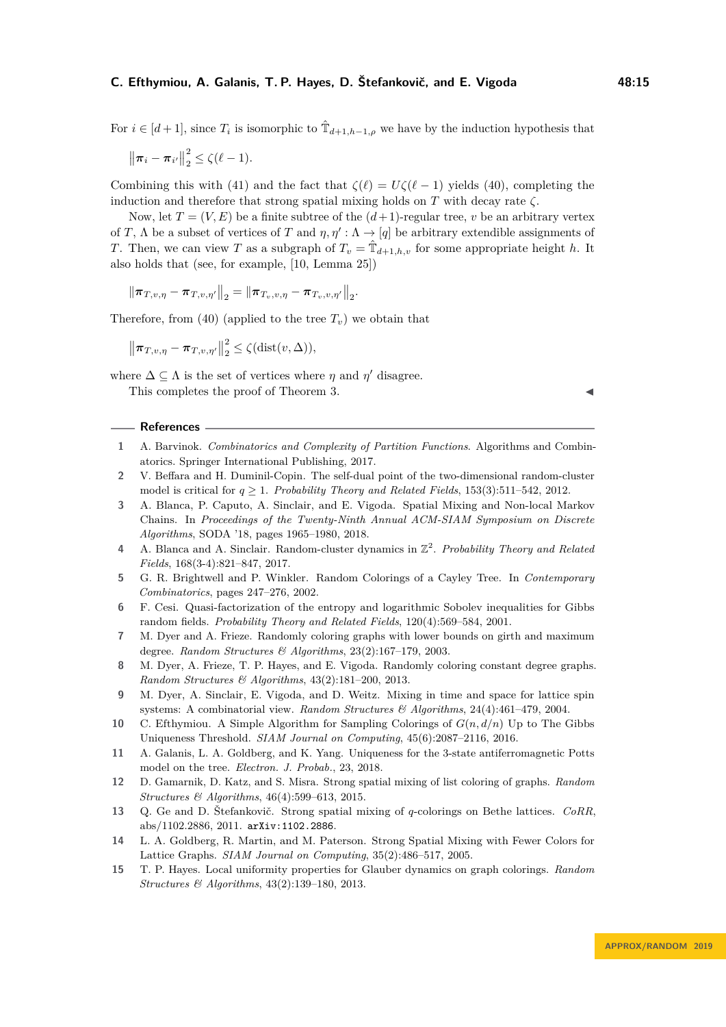For  $i \in [d+1]$ , since  $T_i$  is isomorphic to  $\hat{T}_{d+1,h-1,\rho}$  we have by the induction hypothesis that

$$
\left\|\boldsymbol{\pi}_i-\boldsymbol{\pi}_{i'}\right\|_2^2\leq \zeta(\ell-1).
$$

Combining this with [\(41\)](#page-13-3) and the fact that  $\zeta(\ell) = U\zeta(\ell-1)$  yields [\(40\)](#page-13-2), completing the induction and therefore that strong spatial mixing holds on *T* with decay rate *ζ*.

Now, let  $T = (V, E)$  be a finite subtree of the  $(d+1)$ -regular tree, *v* be an arbitrary vertex of *T*,  $\Lambda$  be a subset of vertices of *T* and  $\eta$ ,  $\eta' : \Lambda \to [q]$  be arbitrary extendible assignments of *T*. Then, we can view *T* as a subgraph of  $T_v = \hat{T}_{d+1,h,v}$  for some appropriate height *h*. It also holds that (see, for example, [\[10,](#page-14-14) Lemma 25])

 $\left\| \boldsymbol{\pi}_{T, v, \eta} - \boldsymbol{\pi}_{T, v, \eta'} \right\|_2 = \left\| \boldsymbol{\pi}_{T_v, v, \eta} - \boldsymbol{\pi}_{T_v, v, \eta'} \right\|_2.$ 

Therefore, from [\(40\)](#page-13-2) (applied to the tree  $T<sub>v</sub>$ ) we obtain that

$$
\left\|\boldsymbol{\pi}_{T,v,\eta}-\boldsymbol{\pi}_{T,v,\eta'}\right\|_{2}^{2} \leq \zeta(\text{dist}(v,\Delta)),
$$

where  $\Delta \subseteq \Lambda$  is the set of vertices where  $\eta$  and  $\eta'$  disagree. This completes the proof of Theorem [3.](#page-3-0)

#### **References**

- <span id="page-14-5"></span>**1** A. Barvinok. *Combinatorics and Complexity of Partition Functions*. Algorithms and Combinatorics. Springer International Publishing, 2017.
- <span id="page-14-6"></span>**2** V. Beffara and H. Duminil-Copin. The self-dual point of the two-dimensional random-cluster model is critical for  $q > 1$ . *Probability Theory and Related Fields*, 153(3):511–542, 2012.
- <span id="page-14-4"></span>**3** A. Blanca, P. Caputo, A. Sinclair, and E. Vigoda. Spatial Mixing and Non-local Markov Chains. In *Proceedings of the Twenty-Ninth Annual ACM-SIAM Symposium on Discrete Algorithms*, SODA '18, pages 1965–1980, 2018.
- <span id="page-14-3"></span>**4** A. Blanca and A. Sinclair. Random-cluster dynamics in  $\mathbb{Z}^2$ . *Probability Theory and Related Fields*, 168(3-4):821–847, 2017.
- <span id="page-14-8"></span>**5** G. R. Brightwell and P. Winkler. Random Colorings of a Cayley Tree. In *Contemporary Combinatorics*, pages 247–276, 2002.
- <span id="page-14-0"></span>**6** F. Cesi. Quasi-factorization of the entropy and logarithmic Sobolev inequalities for Gibbs random fields. *Probability Theory and Related Fields*, 120(4):569–584, 2001.
- <span id="page-14-11"></span>**7** M. Dyer and A. Frieze. Randomly coloring graphs with lower bounds on girth and maximum degree. *Random Structures & Algorithms*, 23(2):167–179, 2003.
- <span id="page-14-13"></span>**8** M. Dyer, A. Frieze, T. P. Hayes, and E. Vigoda. Randomly coloring constant degree graphs. *Random Structures & Algorithms*, 43(2):181–200, 2013.
- <span id="page-14-1"></span>**9** M. Dyer, A. Sinclair, E. Vigoda, and D. Weitz. Mixing in time and space for lattice spin systems: A combinatorial view. *Random Structures & Algorithms*, 24(4):461–479, 2004.
- <span id="page-14-14"></span>**10** C. Efthymiou. A Simple Algorithm for Sampling Colorings of *G*(*n, d/n*) Up to The Gibbs Uniqueness Threshold. *SIAM Journal on Computing*, 45(6):2087–2116, 2016.
- <span id="page-14-7"></span>**11** A. Galanis, L. A. Goldberg, and K. Yang. Uniqueness for the 3-state antiferromagnetic Potts model on the tree. *Electron. J. Probab.*, 23, 2018.
- <span id="page-14-10"></span>**12** D. Gamarnik, D. Katz, and S. Misra. Strong spatial mixing of list coloring of graphs. *Random Structures & Algorithms*, 46(4):599–613, 2015.
- <span id="page-14-9"></span>**13** Q. Ge and D. Štefankovič. Strong spatial mixing of *q*-colorings on Bethe lattices. *CoRR*, abs/1102.2886, 2011. [arXiv:1102.2886](http://arxiv.org/abs/1102.2886).
- <span id="page-14-2"></span>**14** L. A. Goldberg, R. Martin, and M. Paterson. Strong Spatial Mixing with Fewer Colors for Lattice Graphs. *SIAM Journal on Computing*, 35(2):486–517, 2005.
- <span id="page-14-12"></span>**15** T. P. Hayes. Local uniformity properties for Glauber dynamics on graph colorings. *Random Structures & Algorithms*, 43(2):139–180, 2013.